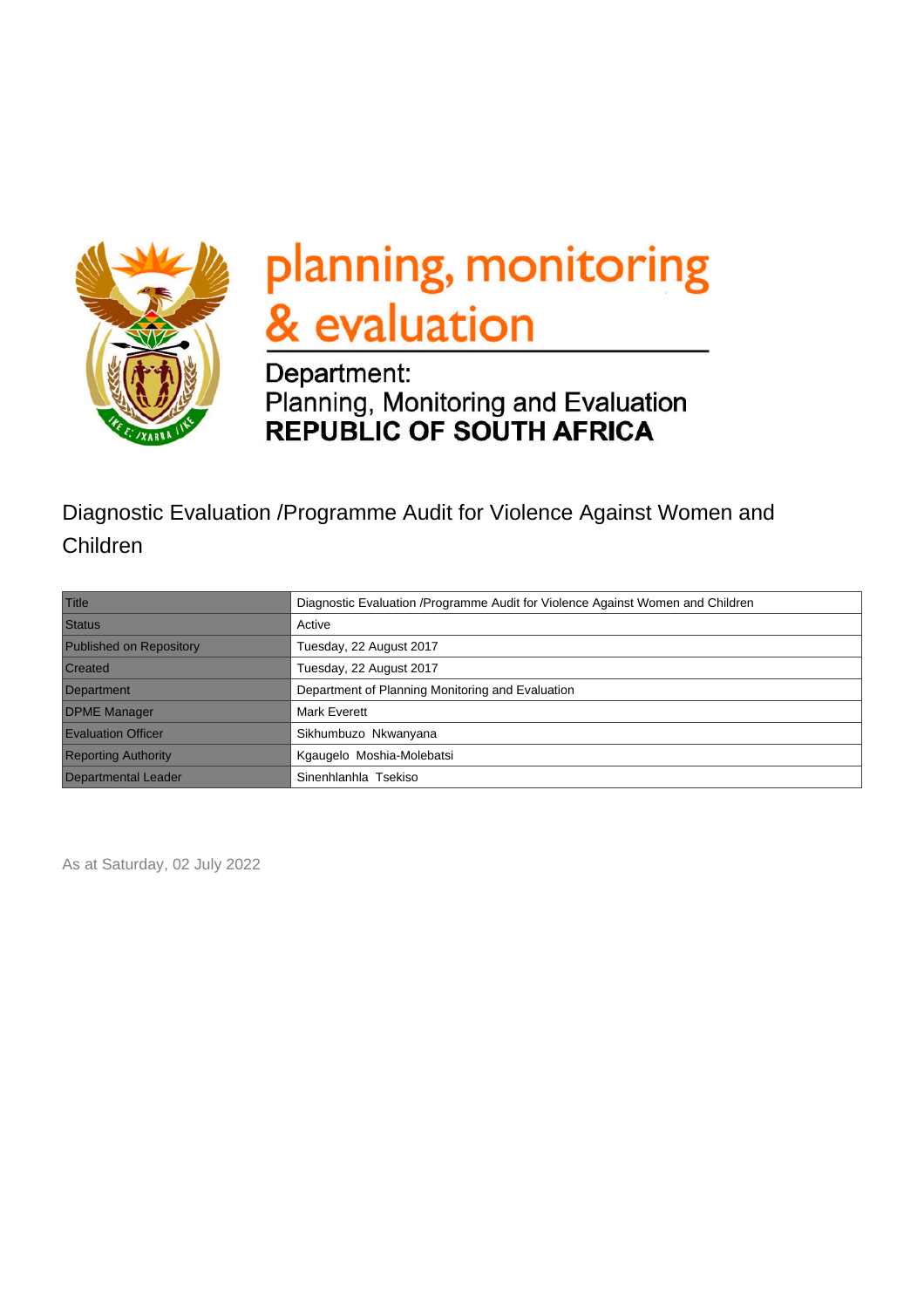

# planning, monitoring & evaluation

## Department: Planning, Monitoring and Evaluation<br>REPUBLIC OF SOUTH AFRICA

## Diagnostic Evaluation /Programme Audit for Violence Against Women and Children

| Title                          | Diagnostic Evaluation / Programme Audit for Violence Against Women and Children |
|--------------------------------|---------------------------------------------------------------------------------|
| <b>Status</b>                  | Active                                                                          |
| <b>Published on Repository</b> | Tuesday, 22 August 2017                                                         |
| <b>Created</b>                 | Tuesday, 22 August 2017                                                         |
| Department                     | Department of Planning Monitoring and Evaluation                                |
| <b>DPME Manager</b>            | <b>Mark Everett</b>                                                             |
| <b>Evaluation Officer</b>      | Sikhumbuzo Nkwanyana                                                            |
| <b>Reporting Authority</b>     | Kgaugelo Moshia-Molebatsi                                                       |
| Departmental Leader            | Sinenhlanhla Tsekiso                                                            |

As at Saturday, 02 July 2022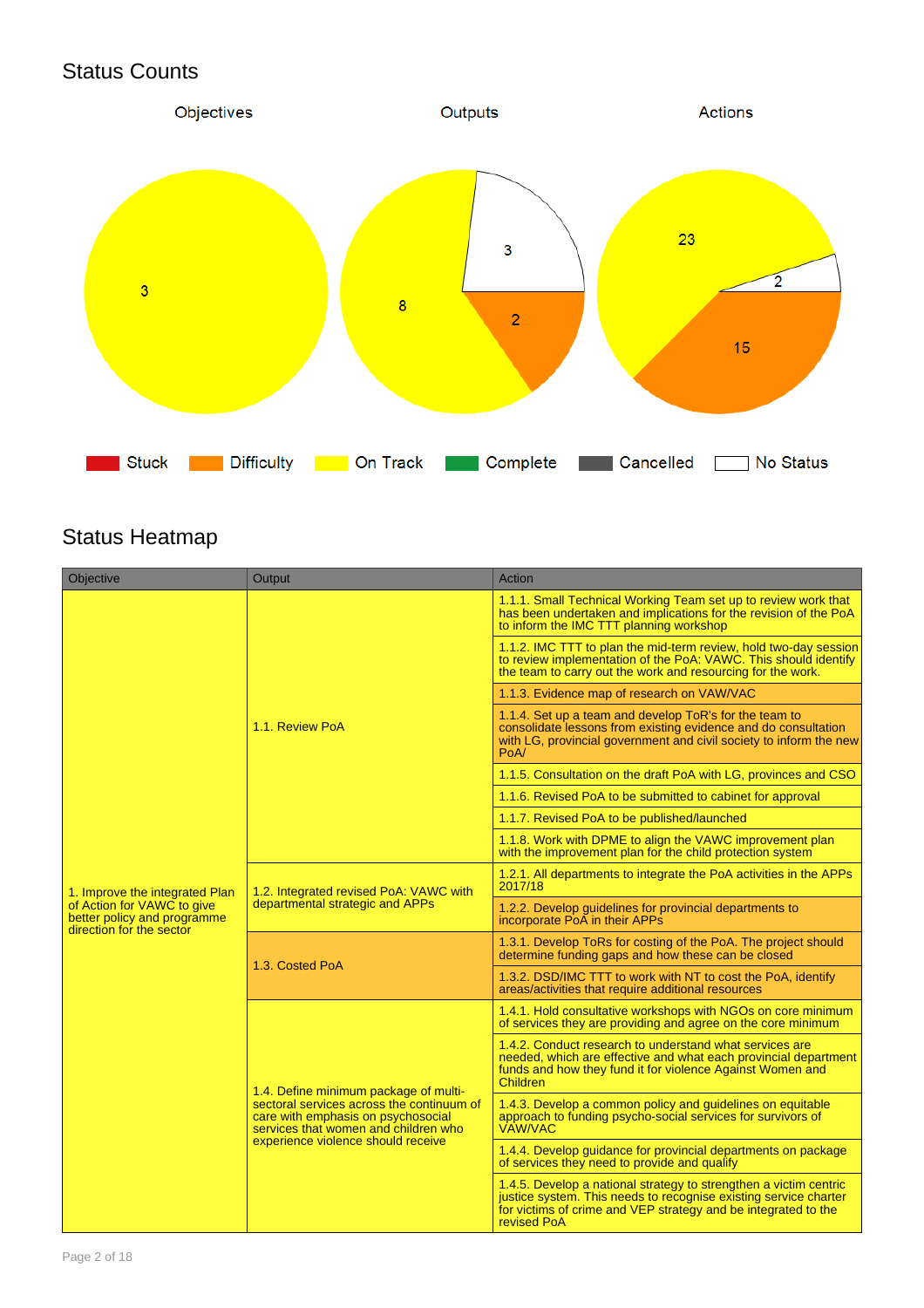## Status Counts



## Status Heatmap

| <b>Objective</b>                                                                      | Output                                                                                                                                                                                                 | Action                                                                                                                                                                                                                 |  |
|---------------------------------------------------------------------------------------|--------------------------------------------------------------------------------------------------------------------------------------------------------------------------------------------------------|------------------------------------------------------------------------------------------------------------------------------------------------------------------------------------------------------------------------|--|
|                                                                                       |                                                                                                                                                                                                        | 1.1.1. Small Technical Working Team set up to review work that<br>has been undertaken and implications for the revision of the PoA<br>to inform the IMC TTT planning workshop                                          |  |
|                                                                                       |                                                                                                                                                                                                        | 1.1.2. IMC TTT to plan the mid-term review, hold two-day session<br>to review implementation of the PoA: VAWC. This should identify<br>the team to carry out the work and resourcing for the work.                     |  |
|                                                                                       |                                                                                                                                                                                                        | 1.1.3. Evidence map of research on VAW/VAC                                                                                                                                                                             |  |
|                                                                                       | 1.1. Review PoA                                                                                                                                                                                        | 1.1.4. Set up a team and develop ToR's for the team to<br>consolidate lessons from existing evidence and do consultation<br>with LG, provincial government and civil society to inform the new<br>PoA/                 |  |
|                                                                                       |                                                                                                                                                                                                        | 1.1.5. Consultation on the draft PoA with LG, provinces and CSO                                                                                                                                                        |  |
|                                                                                       |                                                                                                                                                                                                        | 1.1.6. Revised PoA to be submitted to cabinet for approval                                                                                                                                                             |  |
|                                                                                       |                                                                                                                                                                                                        | 1.1.7. Revised PoA to be published/launched                                                                                                                                                                            |  |
|                                                                                       |                                                                                                                                                                                                        | 1.1.8. Work with DPME to align the VAWC improvement plan<br>with the improvement plan for the child protection system                                                                                                  |  |
| 1. Improve the integrated Plan                                                        | 1.2. Integrated revised PoA: VAWC with                                                                                                                                                                 | 1.2.1. All departments to integrate the PoA activities in the APPs<br>2017/18                                                                                                                                          |  |
| of Action for VAWC to give<br>better policy and programme<br>direction for the sector | departmental strategic and APPs                                                                                                                                                                        | 1.2.2. Develop guidelines for provincial departments to<br>incorporate PoA in their APPs                                                                                                                               |  |
|                                                                                       | 1.3. Costed PoA                                                                                                                                                                                        | 1.3.1. Develop ToRs for costing of the PoA. The project should<br>determine funding gaps and how these can be closed                                                                                                   |  |
|                                                                                       |                                                                                                                                                                                                        | 1.3.2. DSD/IMC TTT to work with NT to cost the PoA, identify<br>areas/activities that require additional resources                                                                                                     |  |
|                                                                                       | 1.4. Define minimum package of multi-<br>sectoral services across the continuum of<br>care with emphasis on psychosocial<br>services that women and children who<br>experience violence should receive | 1.4.1. Hold consultative workshops with NGOs on core minimum<br>of services they are providing and agree on the core minimum                                                                                           |  |
|                                                                                       |                                                                                                                                                                                                        | 1.4.2. Conduct research to understand what services are<br>needed, which are effective and what each provincial department<br>funds and how they fund it for violence Against Women and<br><b>Children</b>             |  |
|                                                                                       |                                                                                                                                                                                                        | 1.4.3. Develop a common policy and guidelines on equitable<br>approach to funding psycho-social services for survivors of<br><b>VAW/VAC</b>                                                                            |  |
|                                                                                       |                                                                                                                                                                                                        | 1.4.4. Develop guidance for provincial departments on package<br>of services they need to provide and qualify                                                                                                          |  |
|                                                                                       |                                                                                                                                                                                                        | 1.4.5. Develop a national strategy to strengthen a victim centric<br>justice system. This needs to recognise existing service charter<br>for victims of crime and VEP strategy and be integrated to the<br>revised PoA |  |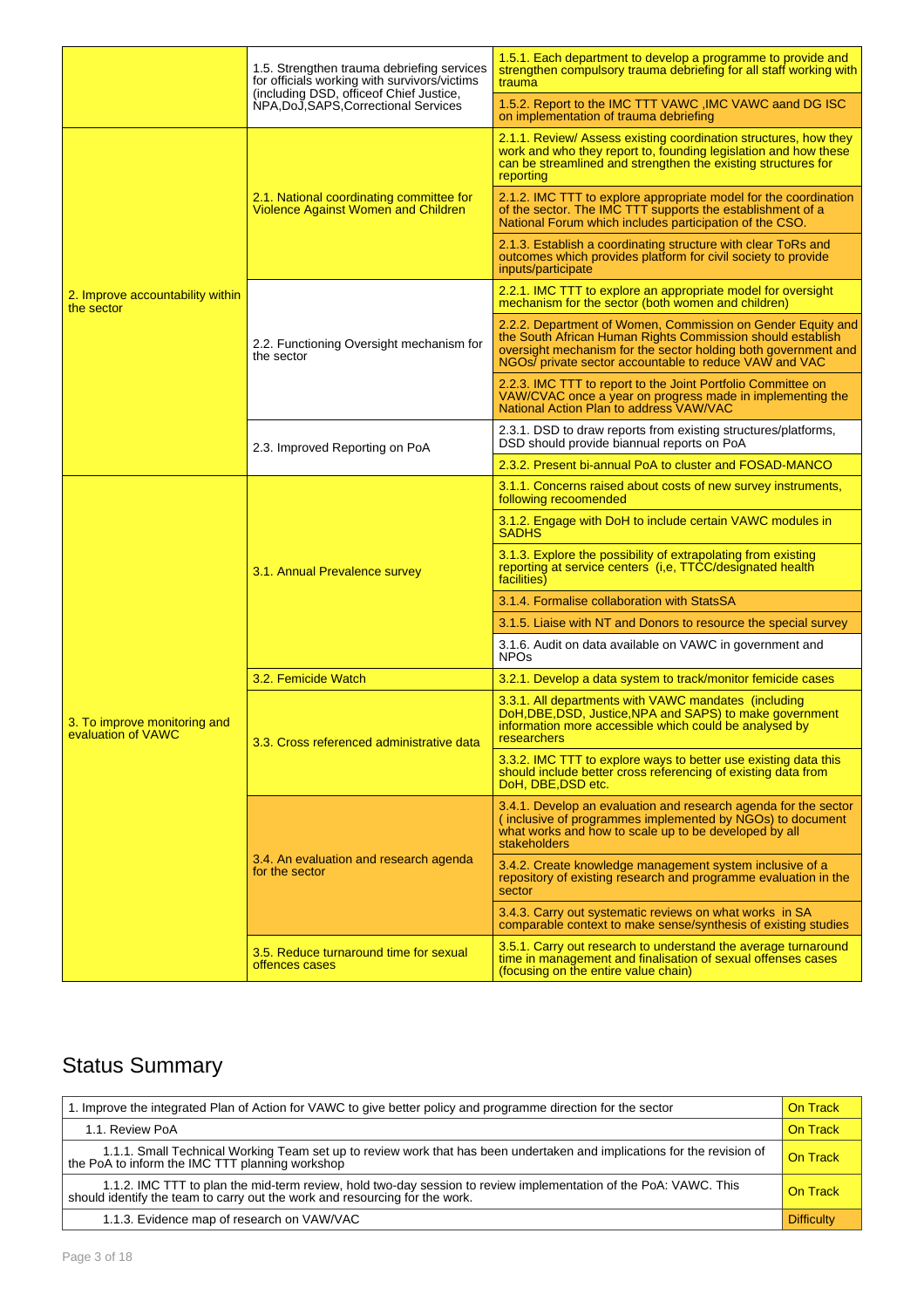|                                                    | 1.5. Strengthen trauma debriefing services<br>for officials working with survivors/victims | 1.5.1. Each department to develop a programme to provide and<br>strengthen compulsory trauma debriefing for all staff working with<br>trauma                                                                                                          |  |
|----------------------------------------------------|--------------------------------------------------------------------------------------------|-------------------------------------------------------------------------------------------------------------------------------------------------------------------------------------------------------------------------------------------------------|--|
|                                                    | (including DSD, office of Chief Justice,<br>NPA, DoJ, SAPS, Correctional Services          | 1.5.2. Report to the IMC TTT VAWC, IMC VAWC aand DG ISC<br>on implementation of trauma debriefing                                                                                                                                                     |  |
|                                                    |                                                                                            | 2.1.1. Review/ Assess existing coordination structures, how they<br>work and who they report to, founding legislation and how these<br>can be streamlined and strengthen the existing structures for<br>reporting                                     |  |
|                                                    | 2.1. National coordinating committee for<br><b>Violence Against Women and Children</b>     | 2.1.2. IMC TTT to explore appropriate model for the coordination<br>of the sector. The IMC TTT supports the establishment of a<br>National Forum which includes participation of the CSO.                                                             |  |
|                                                    |                                                                                            | 2.1.3. Establish a coordinating structure with clear ToRs and<br>outcomes which provides platform for civil society to provide<br>inputs/participate                                                                                                  |  |
| 2. Improve accountability within<br>the sector     |                                                                                            | 2.2.1. IMC TTT to explore an appropriate model for oversight<br>mechanism for the sector (both women and children)                                                                                                                                    |  |
|                                                    | 2.2. Functioning Oversight mechanism for<br>the sector                                     | 2.2.2. Department of Women, Commission on Gender Equity and<br>the South African Human Rights Commission should establish<br>oversight mechanism for the sector holding both government and<br>NGOs/ private sector accountable to reduce VAW and VAC |  |
|                                                    |                                                                                            | 2.2.3. IMC TTT to report to the Joint Portfolio Committee on<br>VAW/CVAC once a year on progress made in implementing the<br>National Action Plan to address VAW/VAC                                                                                  |  |
|                                                    | 2.3. Improved Reporting on PoA                                                             | 2.3.1. DSD to draw reports from existing structures/platforms,<br>DSD should provide biannual reports on PoA                                                                                                                                          |  |
|                                                    |                                                                                            | 2.3.2. Present bi-annual PoA to cluster and FOSAD-MANCO                                                                                                                                                                                               |  |
|                                                    | 3.1. Annual Prevalence survey                                                              | 3.1.1. Concerns raised about costs of new survey instruments,<br>following recoomended                                                                                                                                                                |  |
|                                                    |                                                                                            | 3.1.2. Engage with DoH to include certain VAWC modules in<br><b>SADHS</b>                                                                                                                                                                             |  |
|                                                    |                                                                                            | 3.1.3. Explore the possibility of extrapolating from existing<br>reporting at service centers (i,e, TTCC/designated health<br>facilities)                                                                                                             |  |
|                                                    |                                                                                            | 3.1.4. Formalise collaboration with StatsSA                                                                                                                                                                                                           |  |
|                                                    |                                                                                            | 3.1.5. Liaise with NT and Donors to resource the special survey                                                                                                                                                                                       |  |
|                                                    |                                                                                            | 3.1.6. Audit on data available on VAWC in government and<br><b>NPOs</b>                                                                                                                                                                               |  |
|                                                    | 3.2. Femicide Watch                                                                        | 3.2.1. Develop a data system to track/monitor femicide cases                                                                                                                                                                                          |  |
| 3. To improve monitoring and<br>evaluation of VAWC | 3.3. Cross referenced administrative data                                                  | 3.3.1. All departments with VAWC mandates (including<br>DoH, DBE, DSD, Justice, NPA and SAPS) to make government<br>information more accessible which could be analysed by<br>researchers                                                             |  |
|                                                    |                                                                                            | 3.3.2. IMC TTT to explore ways to better use existing data this<br>should include better cross referencing of existing data from<br>DoH, DBE, DSD etc.                                                                                                |  |
|                                                    |                                                                                            | 3.4.1. Develop an evaluation and research agenda for the sector<br>(inclusive of programmes implemented by NGOs) to document<br>what works and how to scale up to be developed by all<br>stakeholders                                                 |  |
|                                                    | 3.4. An evaluation and research agenda<br>for the sector                                   | 3.4.2. Create knowledge management system inclusive of a<br>repository of existing research and programme evaluation in the<br>sector                                                                                                                 |  |
|                                                    |                                                                                            | 3.4.3. Carry out systematic reviews on what works in SA<br>comparable context to make sense/synthesis of existing studies                                                                                                                             |  |
|                                                    | 3.5. Reduce turnaround time for sexual<br>offences cases                                   | 3.5.1. Carry out research to understand the average turnaround<br>time in management and finalisation of sexual offenses cases<br>(focusing on the entire value chain)                                                                                |  |

## Status Summary

| 1. Improve the integrated Plan of Action for VAWC to give better policy and programme direction for the sector                                                                                  | On Track          |
|-------------------------------------------------------------------------------------------------------------------------------------------------------------------------------------------------|-------------------|
| 1.1. Review PoA                                                                                                                                                                                 | On Track          |
| 1.1.1. Small Technical Working Team set up to review work that has been undertaken and implications for the revision of<br>the PoA to inform the IMC TTT planning workshop                      | On Track          |
| 1.1.2. IMC TTT to plan the mid-term review, hold two-day session to review implementation of the PoA: VAWC. This<br>should identify the team to carry out the work and resourcing for the work. | On Track          |
| 1.1.3. Evidence map of research on VAW/VAC                                                                                                                                                      | <b>Difficulty</b> |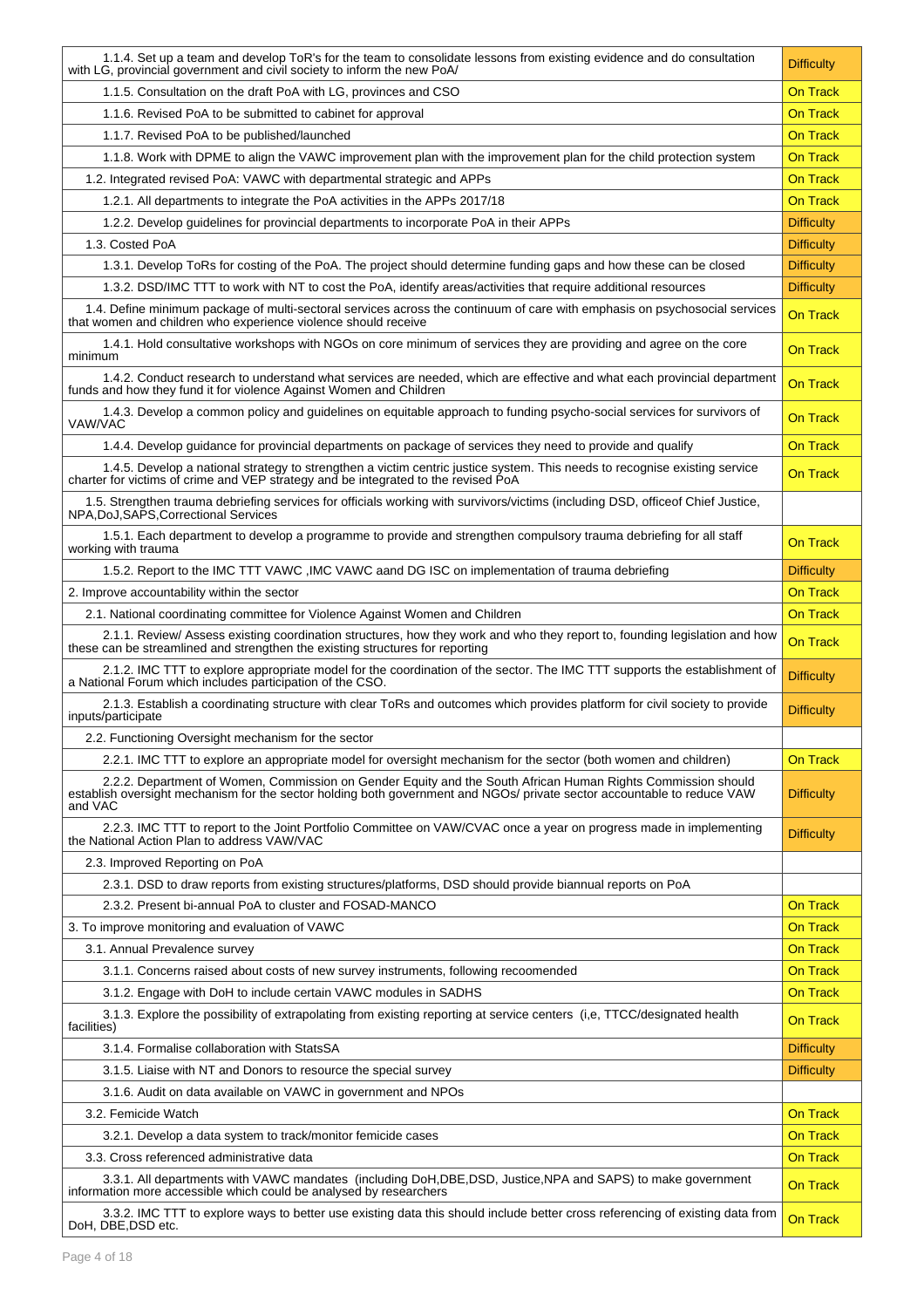| 1.1.4. Set up a team and develop ToR's for the team to consolidate lessons from existing evidence and do consultation<br>with LG, provincial government and civil society to inform the new PoA/                                                   | <b>Difficulty</b> |
|----------------------------------------------------------------------------------------------------------------------------------------------------------------------------------------------------------------------------------------------------|-------------------|
| 1.1.5. Consultation on the draft PoA with LG, provinces and CSO                                                                                                                                                                                    | <b>On Track</b>   |
| 1.1.6. Revised PoA to be submitted to cabinet for approval                                                                                                                                                                                         | <b>On Track</b>   |
| 1.1.7. Revised PoA to be published/launched                                                                                                                                                                                                        | <b>On Track</b>   |
| 1.1.8. Work with DPME to align the VAWC improvement plan with the improvement plan for the child protection system                                                                                                                                 | <b>On Track</b>   |
| 1.2. Integrated revised PoA: VAWC with departmental strategic and APPs                                                                                                                                                                             | <b>On Track</b>   |
| 1.2.1. All departments to integrate the PoA activities in the APPs 2017/18                                                                                                                                                                         | <b>On Track</b>   |
| 1.2.2. Develop guidelines for provincial departments to incorporate PoA in their APPs                                                                                                                                                              | <b>Difficulty</b> |
| 1.3. Costed PoA                                                                                                                                                                                                                                    | <b>Difficulty</b> |
| 1.3.1. Develop ToRs for costing of the PoA. The project should determine funding gaps and how these can be closed                                                                                                                                  | <b>Difficulty</b> |
| 1.3.2. DSD/IMC TTT to work with NT to cost the PoA, identify areas/activities that require additional resources                                                                                                                                    | <b>Difficulty</b> |
| 1.4. Define minimum package of multi-sectoral services across the continuum of care with emphasis on psychosocial services<br>that women and children who experience violence should receive                                                       | <b>On Track</b>   |
| 1.4.1. Hold consultative workshops with NGOs on core minimum of services they are providing and agree on the core<br>minimum                                                                                                                       | <b>On Track</b>   |
| 1.4.2. Conduct research to understand what services are needed, which are effective and what each provincial department<br>funds and how they fund it for violence Against Women and Children                                                      | <b>On Track</b>   |
| 1.4.3. Develop a common policy and guidelines on equitable approach to funding psycho-social services for survivors of<br>VAW/VAC                                                                                                                  | <b>On Track</b>   |
| 1.4.4. Develop guidance for provincial departments on package of services they need to provide and qualify                                                                                                                                         | <b>On Track</b>   |
| 1.4.5. Develop a national strategy to strengthen a victim centric justice system. This needs to recognise existing service<br>charter for victims of crime and VEP strategy and be integrated to the revised PoA                                   | <b>On Track</b>   |
| 1.5. Strengthen trauma debriefing services for officials working with survivors/victims (including DSD, officeof Chief Justice, NPA, DoJ, SAPS, Correctional Services                                                                              |                   |
| 1.5.1. Each department to develop a programme to provide and strengthen compulsory trauma debriefing for all staff<br>working with trauma                                                                                                          | <b>On Track</b>   |
| 1.5.2. Report to the IMC TTT VAWC , IMC VAWC aand DG ISC on implementation of trauma debriefing                                                                                                                                                    | <b>Difficulty</b> |
| 2. Improve accountability within the sector                                                                                                                                                                                                        | <b>On Track</b>   |
| 2.1. National coordinating committee for Violence Against Women and Children                                                                                                                                                                       | <b>On Track</b>   |
| 2.1.1. Review/ Assess existing coordination structures, how they work and who they report to, founding legislation and how<br>these can be streamlined and strengthen the existing structures for reporting                                        | <b>On Track</b>   |
| 2.1.2. IMC TTT to explore appropriate model for the coordination of the sector. The IMC TTT supports the establishment of a National Forum which includes participation of the CSO.                                                                | <b>Difficulty</b> |
| 2.1.3. Establish a coordinating structure with clear ToRs and outcomes which provides platform for civil society to provide<br>inputs/participate                                                                                                  | <b>Difficulty</b> |
| 2.2. Functioning Oversight mechanism for the sector                                                                                                                                                                                                |                   |
| 2.2.1. IMC TTT to explore an appropriate model for oversight mechanism for the sector (both women and children)                                                                                                                                    | <b>On Track</b>   |
| 2.2.2. Department of Women, Commission on Gender Equity and the South African Human Rights Commission should<br>establish oversight mechanism for the sector holding both government and NGOs/ private sector accountable to reduce VAW<br>and VAC | <b>Difficulty</b> |
| 2.2.3. IMC TTT to report to the Joint Portfolio Committee on VAW/CVAC once a year on progress made in implementing<br>the National Action Plan to address VAW/VAC                                                                                  | <b>Difficulty</b> |
| 2.3. Improved Reporting on PoA                                                                                                                                                                                                                     |                   |
| 2.3.1. DSD to draw reports from existing structures/platforms, DSD should provide biannual reports on PoA                                                                                                                                          |                   |
| 2.3.2. Present bi-annual PoA to cluster and FOSAD-MANCO                                                                                                                                                                                            | <b>On Track</b>   |
| 3. To improve monitoring and evaluation of VAWC                                                                                                                                                                                                    | <b>On Track</b>   |
| 3.1. Annual Prevalence survey                                                                                                                                                                                                                      | <b>On Track</b>   |
| 3.1.1. Concerns raised about costs of new survey instruments, following recoomended                                                                                                                                                                | <b>On Track</b>   |
| 3.1.2. Engage with DoH to include certain VAWC modules in SADHS                                                                                                                                                                                    | <b>On Track</b>   |
| 3.1.3. Explore the possibility of extrapolating from existing reporting at service centers (i,e, TTCC/designated health<br>facilities)                                                                                                             | <b>On Track</b>   |
| 3.1.4. Formalise collaboration with StatsSA                                                                                                                                                                                                        | <b>Difficulty</b> |
| 3.1.5. Liaise with NT and Donors to resource the special survey                                                                                                                                                                                    | <b>Difficulty</b> |
| 3.1.6. Audit on data available on VAWC in government and NPOs                                                                                                                                                                                      |                   |
| 3.2. Femicide Watch                                                                                                                                                                                                                                | <b>On Track</b>   |
| 3.2.1. Develop a data system to track/monitor femicide cases                                                                                                                                                                                       | On Track          |
| 3.3. Cross referenced administrative data                                                                                                                                                                                                          | On Track          |
| 3.3.1. All departments with VAWC mandates (including DoH, DBE, DSD, Justice, NPA and SAPS) to make government<br>information more accessible which could be analysed by researchers                                                                | <b>On Track</b>   |
| 3.3.2. IMC TTT to explore ways to better use existing data this should include better cross referencing of existing data from<br>DoH, DBE, DSD etc.                                                                                                | <b>On Track</b>   |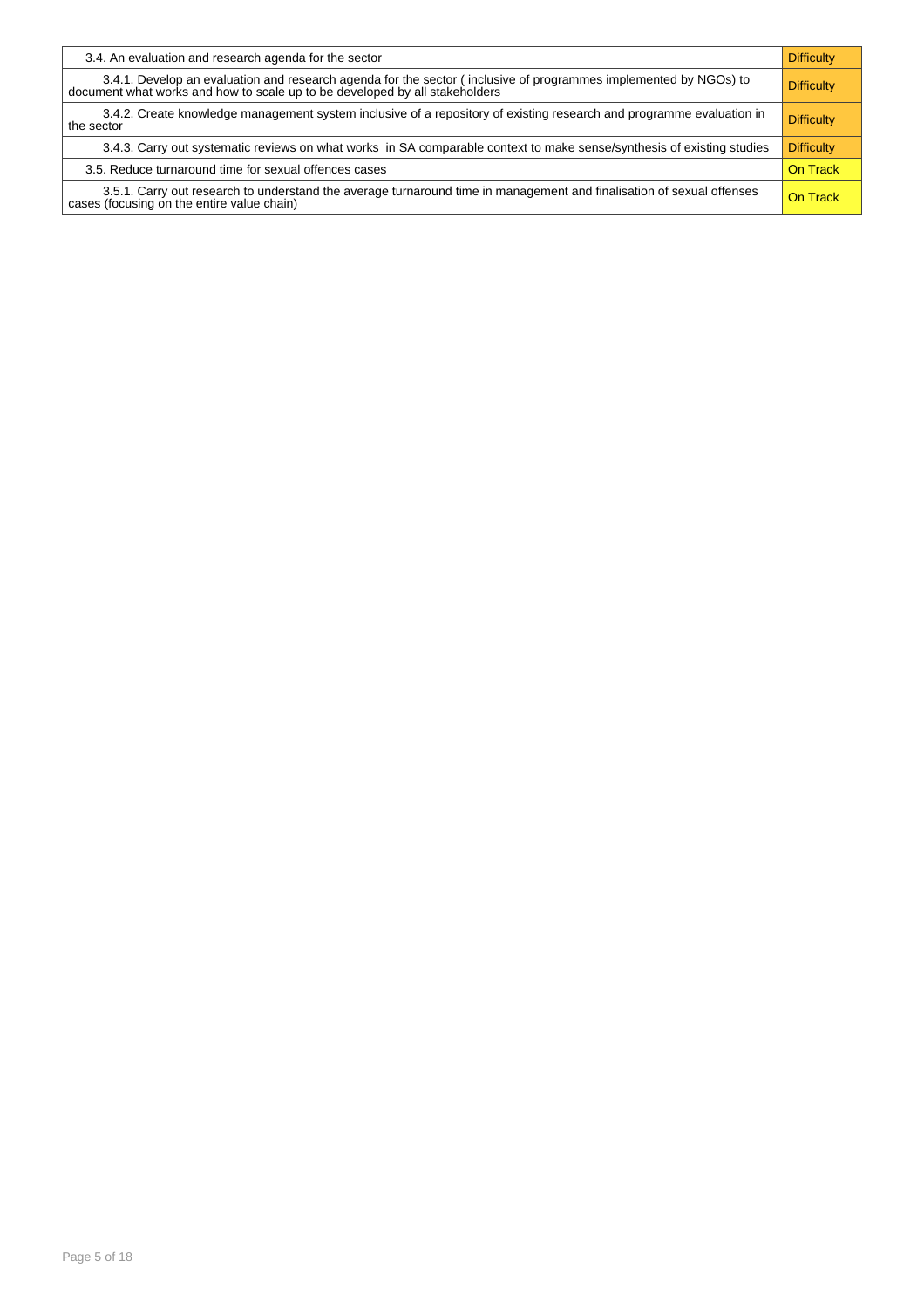| 3.4. An evaluation and research agenda for the sector                                                                                                                                           | <b>Difficulty</b> |
|-------------------------------------------------------------------------------------------------------------------------------------------------------------------------------------------------|-------------------|
| 3.4.1. Develop an evaluation and research agenda for the sector (inclusive of programmes implemented by NGOs) to<br>document what works and how to scale up to be developed by all stakeholders | <b>Difficulty</b> |
| 3.4.2. Create knowledge management system inclusive of a repository of existing research and programme evaluation in<br>the sector                                                              | <b>Difficulty</b> |
| 3.4.3. Carry out systematic reviews on what works in SA comparable context to make sense/synthesis of existing studies                                                                          | <b>Difficulty</b> |
| 3.5. Reduce turnaround time for sexual offences cases                                                                                                                                           | On Track          |
| 3.5.1. Carry out research to understand the average turnaround time in management and finalisation of sexual offenses<br>cases (focusing on the entire value chain)                             | On Track          |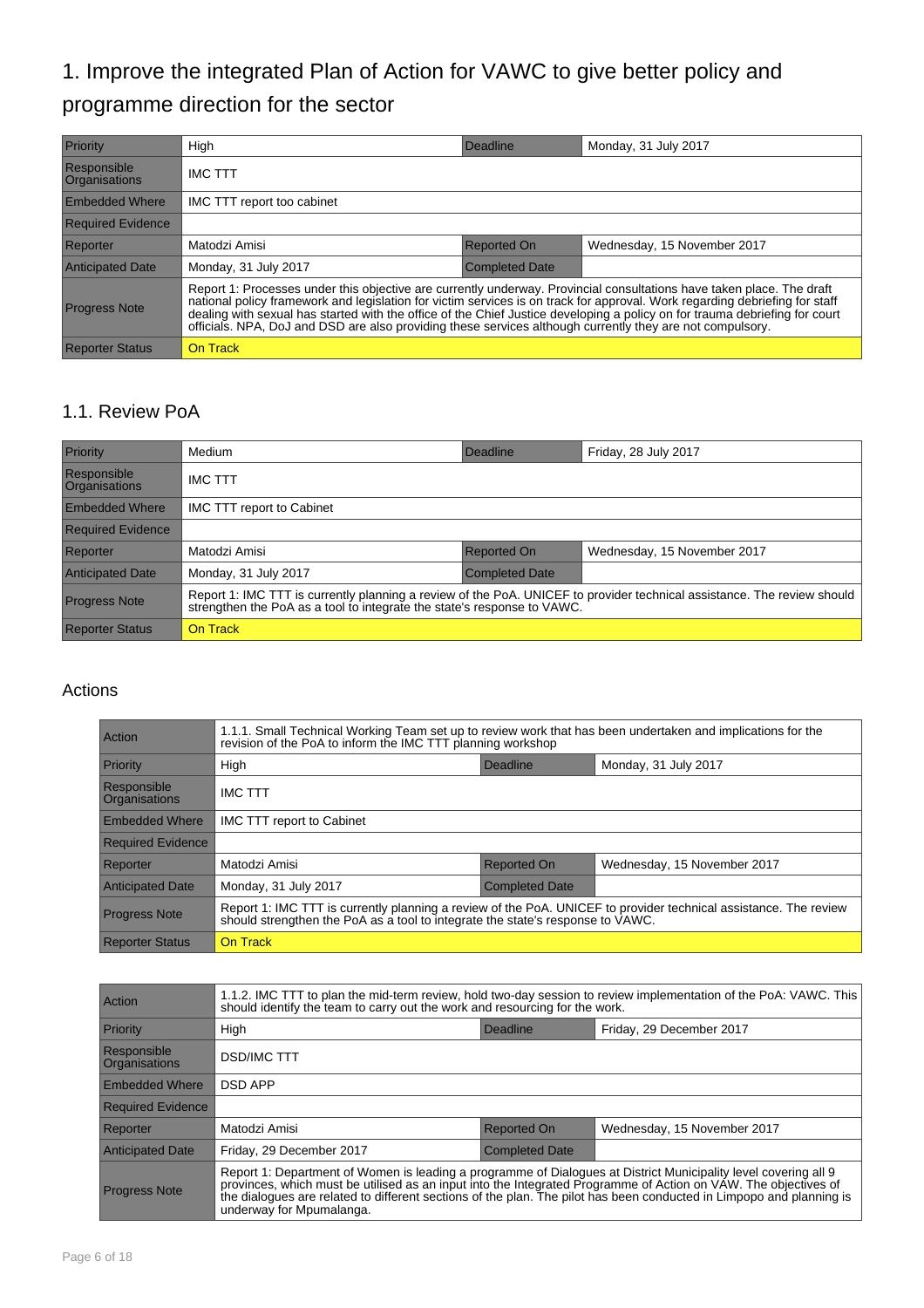## 1. Improve the integrated Plan of Action for VAWC to give better policy and programme direction for the sector

| Priority                            | High                                                                                                                                                                                                                                                                                                                                                                                                                                                                                             | Deadline              | Monday, 31 July 2017        |
|-------------------------------------|--------------------------------------------------------------------------------------------------------------------------------------------------------------------------------------------------------------------------------------------------------------------------------------------------------------------------------------------------------------------------------------------------------------------------------------------------------------------------------------------------|-----------------------|-----------------------------|
| Responsible<br><b>Organisations</b> | <b>IMC TTT</b>                                                                                                                                                                                                                                                                                                                                                                                                                                                                                   |                       |                             |
| <b>Embedded Where</b>               | IMC TTT report too cabinet                                                                                                                                                                                                                                                                                                                                                                                                                                                                       |                       |                             |
| <b>Required Evidence</b>            |                                                                                                                                                                                                                                                                                                                                                                                                                                                                                                  |                       |                             |
| Reporter                            | Matodzi Amisi                                                                                                                                                                                                                                                                                                                                                                                                                                                                                    | <b>Reported On</b>    | Wednesday, 15 November 2017 |
| <b>Anticipated Date</b>             | Monday, 31 July 2017                                                                                                                                                                                                                                                                                                                                                                                                                                                                             | <b>Completed Date</b> |                             |
| <b>Progress Note</b>                | Report 1: Processes under this objective are currently underway. Provincial consultations have taken place. The draft<br>national policy framework and legislation for victim services is on track for approval. Work regarding debriefing for staff<br>dealing with sexual has started with the office of the Chief Justice developing a policy on for trauma debriefing for court<br>officials. NPA, DoJ and DSD are also providing these services although currently they are not compulsory. |                       |                             |
| <b>Reporter Status</b>              | <b>On Track</b>                                                                                                                                                                                                                                                                                                                                                                                                                                                                                  |                       |                             |

#### 1.1. Review PoA

| Priority                            | Medium                                                                                                                                                                                          | Deadline              | Friday, 28 July 2017        |
|-------------------------------------|-------------------------------------------------------------------------------------------------------------------------------------------------------------------------------------------------|-----------------------|-----------------------------|
| Responsible<br><b>Organisations</b> | <b>IMC TTT</b>                                                                                                                                                                                  |                       |                             |
| <b>Embedded Where</b>               | IMC TTT report to Cabinet                                                                                                                                                                       |                       |                             |
| <b>Required Evidence</b>            |                                                                                                                                                                                                 |                       |                             |
| Reporter                            | Matodzi Amisi                                                                                                                                                                                   | <b>Reported On</b>    | Wednesday, 15 November 2017 |
| <b>Anticipated Date</b>             | Monday, 31 July 2017                                                                                                                                                                            | <b>Completed Date</b> |                             |
| <b>Progress Note</b>                | Report 1: IMC TTT is currently planning a review of the PoA. UNICEF to provider technical assistance. The review should strengthen the PoA as a tool to integrate the state's response to VAWC. |                       |                             |
| <b>Reporter Status</b>              | On Track                                                                                                                                                                                        |                       |                             |

| Action                              | 1.1.1. Small Technical Working Team set up to review work that has been undertaken and implications for the<br>revision of the PoA to inform the IMC TTT planning workshop                      |                       |                             |
|-------------------------------------|-------------------------------------------------------------------------------------------------------------------------------------------------------------------------------------------------|-----------------------|-----------------------------|
| Priority                            | High<br>Deadline<br>Monday, 31 July 2017                                                                                                                                                        |                       |                             |
| Responsible<br><b>Organisations</b> | <b>IMC TTT</b>                                                                                                                                                                                  |                       |                             |
| <b>Embedded Where</b>               | <b>IMC TTT report to Cabinet</b>                                                                                                                                                                |                       |                             |
| <b>Required Evidence</b>            |                                                                                                                                                                                                 |                       |                             |
| Reporter                            | Matodzi Amisi                                                                                                                                                                                   | <b>Reported On</b>    | Wednesday, 15 November 2017 |
| <b>Anticipated Date</b>             | Monday, 31 July 2017                                                                                                                                                                            | <b>Completed Date</b> |                             |
| <b>Progress Note</b>                | Report 1: IMC TTT is currently planning a review of the PoA. UNICEF to provider technical assistance. The review should strengthen the PoA as a tool to integrate the state's response to VAWC. |                       |                             |
| <b>Reporter Status</b>              | On Track                                                                                                                                                                                        |                       |                             |

| <b>Action</b>                | 1.1.2. IMC TTT to plan the mid-term review, hold two-day session to review implementation of the PoA: VAWC. This<br>should identify the team to carry out the work and resourcing for the work.                                                                                                                                                                                        |                    |                             |  |
|------------------------------|----------------------------------------------------------------------------------------------------------------------------------------------------------------------------------------------------------------------------------------------------------------------------------------------------------------------------------------------------------------------------------------|--------------------|-----------------------------|--|
| Priority                     | High<br>Deadline<br>Friday, 29 December 2017                                                                                                                                                                                                                                                                                                                                           |                    |                             |  |
| Responsible<br>Organisations | <b>DSD/IMC TTT</b>                                                                                                                                                                                                                                                                                                                                                                     |                    |                             |  |
| <b>Embedded Where</b>        | <b>DSD APP</b>                                                                                                                                                                                                                                                                                                                                                                         |                    |                             |  |
| <b>Required Evidence</b>     |                                                                                                                                                                                                                                                                                                                                                                                        |                    |                             |  |
| Reporter                     | Matodzi Amisi                                                                                                                                                                                                                                                                                                                                                                          | <b>Reported On</b> | Wednesday, 15 November 2017 |  |
| <b>Anticipated Date</b>      | Friday, 29 December 2017<br><b>Completed Date</b>                                                                                                                                                                                                                                                                                                                                      |                    |                             |  |
| <b>Progress Note</b>         | Report 1: Department of Women is leading a programme of Dialogues at District Municipality level covering all 9<br>provinces, which must be utilised as an input into the Integrated Programme of Action on VAW. The objectives of<br>the dialogues are related to different sections of the plan. The pilot has been conducted in Limpopo and planning is<br>underway for Mpumalanga. |                    |                             |  |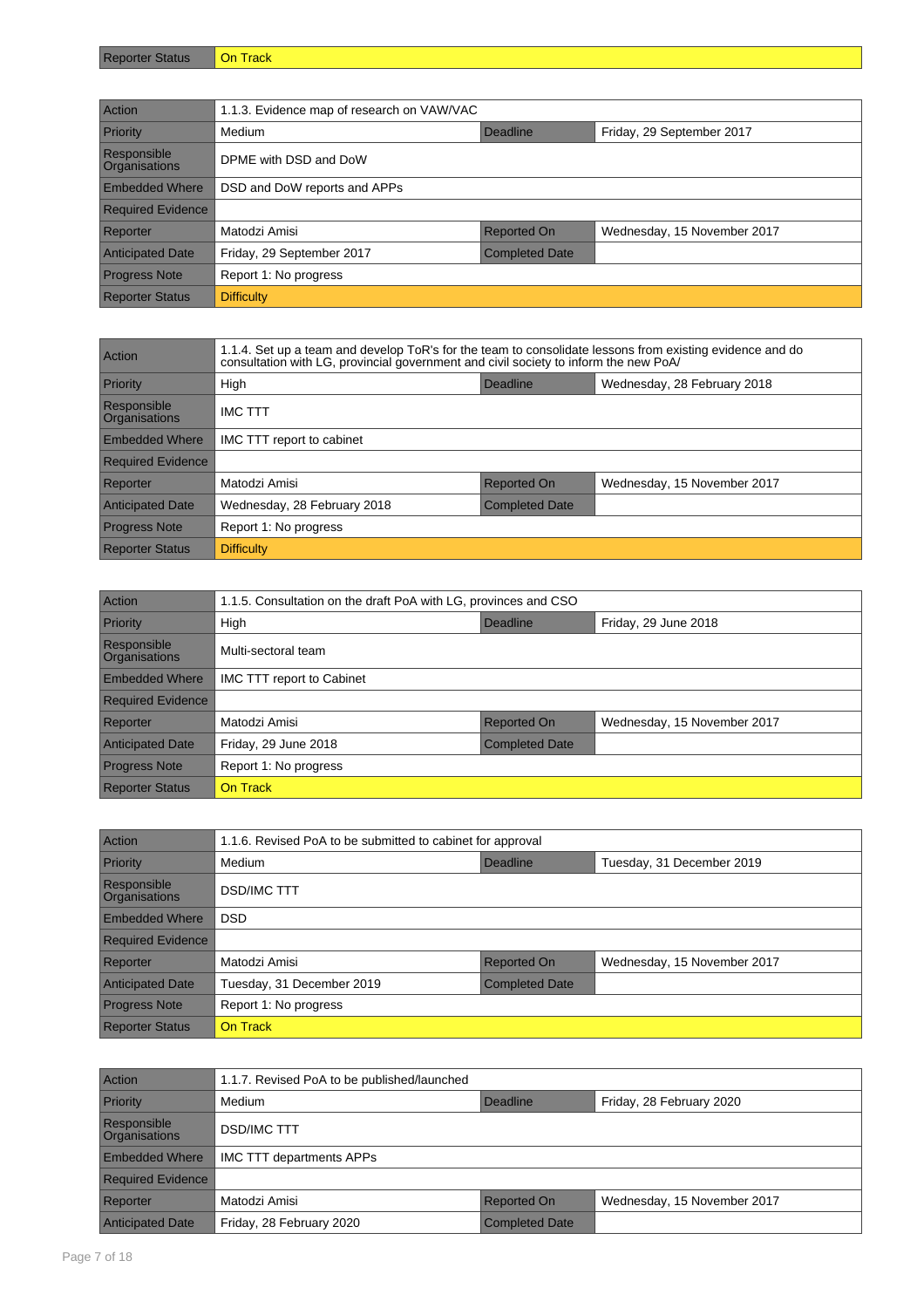| Reporter | <b>On</b> |
|----------|-----------|
| ગતાuડ    | On Track  |
|          |           |

| Action                                     | 1.1.3. Evidence map of research on VAW/VAC         |                    |                             |
|--------------------------------------------|----------------------------------------------------|--------------------|-----------------------------|
| Priority                                   | Friday, 29 September 2017<br>Medium<br>Deadline    |                    |                             |
| <b>Responsible</b><br><b>Organisations</b> | DPME with DSD and DoW                              |                    |                             |
| <b>Embedded Where</b>                      | DSD and DoW reports and APPs                       |                    |                             |
| <b>Required Evidence</b>                   |                                                    |                    |                             |
| Reporter                                   | Matodzi Amisi                                      | <b>Reported On</b> | Wednesday, 15 November 2017 |
| <b>Anticipated Date</b>                    | Friday, 29 September 2017<br><b>Completed Date</b> |                    |                             |
| <b>Progress Note</b>                       | Report 1: No progress                              |                    |                             |
| <b>Reporter Status</b>                     | <b>Difficulty</b>                                  |                    |                             |

| Action                       | 1.1.4. Set up a team and develop ToR's for the team to consolidate lessons from existing evidence and do<br>consultation with LG, provincial government and civil society to inform the new PoA/ |                       |                             |  |
|------------------------------|--------------------------------------------------------------------------------------------------------------------------------------------------------------------------------------------------|-----------------------|-----------------------------|--|
| Priority                     | High                                                                                                                                                                                             | Deadline              | Wednesday, 28 February 2018 |  |
| Responsible<br>Organisations | <b>IMC TTT</b>                                                                                                                                                                                   |                       |                             |  |
| <b>Embedded Where</b>        | IMC TTT report to cabinet                                                                                                                                                                        |                       |                             |  |
| <b>Required Evidence</b>     |                                                                                                                                                                                                  |                       |                             |  |
| Reporter                     | Matodzi Amisi                                                                                                                                                                                    | <b>Reported On</b>    | Wednesday, 15 November 2017 |  |
| <b>Anticipated Date</b>      | Wednesday, 28 February 2018                                                                                                                                                                      | <b>Completed Date</b> |                             |  |
| <b>Progress Note</b>         | Report 1: No progress                                                                                                                                                                            |                       |                             |  |
| <b>Reporter Status</b>       | <b>Difficulty</b>                                                                                                                                                                                |                       |                             |  |

| Action                       | 1.1.5. Consultation on the draft PoA with LG, provinces and CSO |                       |                             |
|------------------------------|-----------------------------------------------------------------|-----------------------|-----------------------------|
| Priority                     | High                                                            | Deadline              | Friday, 29 June 2018        |
| Responsible<br>Organisations | Multi-sectoral team                                             |                       |                             |
| <b>Embedded Where</b>        | IMC TTT report to Cabinet                                       |                       |                             |
| <b>Required Evidence</b>     |                                                                 |                       |                             |
| Reporter                     | Matodzi Amisi                                                   | <b>Reported On</b>    | Wednesday, 15 November 2017 |
| <b>Anticipated Date</b>      | Friday, 29 June 2018                                            | <b>Completed Date</b> |                             |
| <b>Progress Note</b>         | Report 1: No progress                                           |                       |                             |
| <b>Reporter Status</b>       | On Track                                                        |                       |                             |

| Action                              | 1.1.6. Revised PoA to be submitted to cabinet for approval |                       |                             |
|-------------------------------------|------------------------------------------------------------|-----------------------|-----------------------------|
| Priority                            | Medium                                                     | Deadline              | Tuesday, 31 December 2019   |
| Responsible<br><b>Organisations</b> | <b>DSD/IMC TTT</b>                                         |                       |                             |
| <b>Embedded Where</b>               | <b>DSD</b>                                                 |                       |                             |
| <b>Required Evidence</b>            |                                                            |                       |                             |
| Reporter                            | Matodzi Amisi                                              | Reported On           | Wednesday, 15 November 2017 |
| <b>Anticipated Date</b>             | Tuesday, 31 December 2019                                  | <b>Completed Date</b> |                             |
| <b>Progress Note</b>                | Report 1: No progress                                      |                       |                             |
| <b>Reporter Status</b>              | On Track                                                   |                       |                             |

| <b>Action</b>                              | 1.1.7. Revised PoA to be published/launched |                       |                             |
|--------------------------------------------|---------------------------------------------|-----------------------|-----------------------------|
| Priority                                   | Medium                                      | Deadline              | Friday, 28 February 2020    |
| <b>Responsible</b><br><b>Organisations</b> | <b>DSD/IMC TTT</b>                          |                       |                             |
| <b>Embedded Where</b>                      | <b>IMC TTT departments APPs</b>             |                       |                             |
| <b>Required Evidence</b>                   |                                             |                       |                             |
| Reporter                                   | Matodzi Amisi                               | <b>Reported On</b>    | Wednesday, 15 November 2017 |
| <b>Anticipated Date</b>                    | Friday, 28 February 2020                    | <b>Completed Date</b> |                             |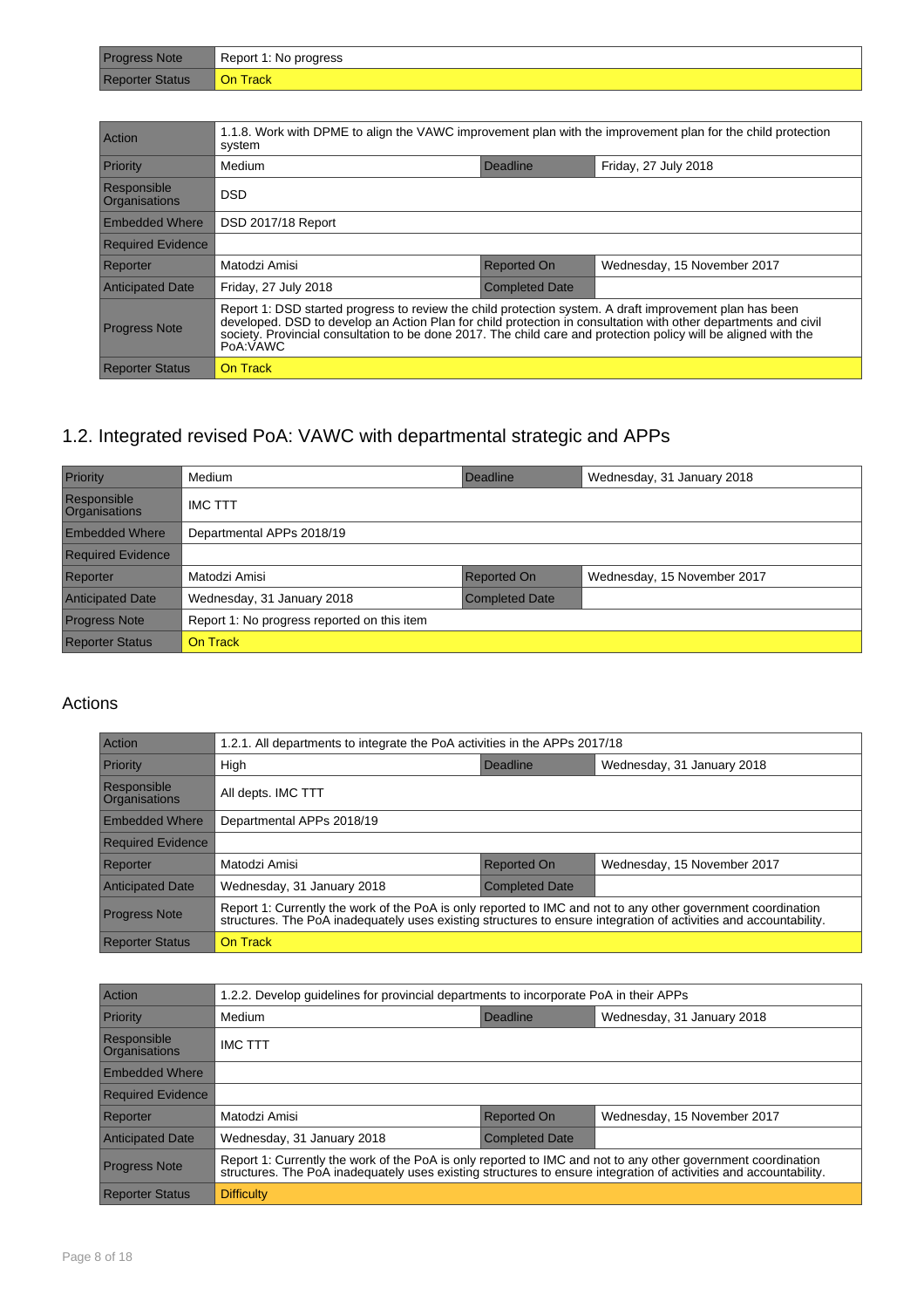| Progress Note          | Report 1: No progress |
|------------------------|-----------------------|
| <b>Reporter Status</b> | <b>On Track</b>       |

| Action                              | 1.1.8. Work with DPME to align the VAWC improvement plan with the improvement plan for the child protection<br>system                                                                                                                                                                                                                                    |                       |                             |
|-------------------------------------|----------------------------------------------------------------------------------------------------------------------------------------------------------------------------------------------------------------------------------------------------------------------------------------------------------------------------------------------------------|-----------------------|-----------------------------|
| Priority                            | Medium                                                                                                                                                                                                                                                                                                                                                   | Deadline              | Friday, 27 July 2018        |
| Responsible<br><b>Organisations</b> | <b>DSD</b>                                                                                                                                                                                                                                                                                                                                               |                       |                             |
| <b>Embedded Where</b>               | DSD 2017/18 Report                                                                                                                                                                                                                                                                                                                                       |                       |                             |
| <b>Required Evidence</b>            |                                                                                                                                                                                                                                                                                                                                                          |                       |                             |
| Reporter                            | Matodzi Amisi                                                                                                                                                                                                                                                                                                                                            | <b>Reported On</b>    | Wednesday, 15 November 2017 |
| <b>Anticipated Date</b>             | Friday, 27 July 2018                                                                                                                                                                                                                                                                                                                                     | <b>Completed Date</b> |                             |
| <b>Progress Note</b>                | Report 1: DSD started progress to review the child protection system. A draft improvement plan has been<br>developed. DSD to develop an Action Plan for child protection in consultation with other departments and civil<br>society. Provincial consultation to be done 2017. The child care and protection policy will be aligned with the<br>PoA:VAWC |                       |                             |
| <b>Reporter Status</b>              | On Track                                                                                                                                                                                                                                                                                                                                                 |                       |                             |

## 1.2. Integrated revised PoA: VAWC with departmental strategic and APPs

| Priority                            | Medium                                      | Deadline              | Wednesday, 31 January 2018  |
|-------------------------------------|---------------------------------------------|-----------------------|-----------------------------|
| Responsible<br><b>Organisations</b> | <b>IMC TTT</b>                              |                       |                             |
| <b>Embedded Where</b>               | Departmental APPs 2018/19                   |                       |                             |
| <b>Required Evidence</b>            |                                             |                       |                             |
| Reporter                            | Matodzi Amisi                               | <b>Reported On</b>    | Wednesday, 15 November 2017 |
| <b>Anticipated Date</b>             | Wednesday, 31 January 2018                  | <b>Completed Date</b> |                             |
| <b>Progress Note</b>                | Report 1: No progress reported on this item |                       |                             |
| <b>Reporter Status</b>              | <b>On Track</b>                             |                       |                             |

| Action                              | 1.2.1. All departments to integrate the PoA activities in the APPs 2017/18                                                                                                                                                        |                       |                             |
|-------------------------------------|-----------------------------------------------------------------------------------------------------------------------------------------------------------------------------------------------------------------------------------|-----------------------|-----------------------------|
| Priority                            | High                                                                                                                                                                                                                              | Deadline              | Wednesday, 31 January 2018  |
| Responsible<br><b>Organisations</b> | All depts. IMC TTT                                                                                                                                                                                                                |                       |                             |
| <b>Embedded Where</b>               | Departmental APPs 2018/19                                                                                                                                                                                                         |                       |                             |
| <b>Required Evidence</b>            |                                                                                                                                                                                                                                   |                       |                             |
| Reporter                            | Matodzi Amisi                                                                                                                                                                                                                     | <b>Reported On</b>    | Wednesday, 15 November 2017 |
| <b>Anticipated Date</b>             | Wednesday, 31 January 2018                                                                                                                                                                                                        | <b>Completed Date</b> |                             |
| <b>Progress Note</b>                | Report 1: Currently the work of the PoA is only reported to IMC and not to any other government coordination<br>structures. The PoA inadequately uses existing structures to ensure integration of activities and accountability. |                       |                             |
| <b>Reporter Status</b>              | On Track                                                                                                                                                                                                                          |                       |                             |

| Action                       | 1.2.2. Develop guidelines for provincial departments to incorporate PoA in their APPs                                                                                                                                             |                       |                             |
|------------------------------|-----------------------------------------------------------------------------------------------------------------------------------------------------------------------------------------------------------------------------------|-----------------------|-----------------------------|
| Priority                     | Medium                                                                                                                                                                                                                            | Deadline              | Wednesday, 31 January 2018  |
| Responsible<br>Organisations | <b>IMC TTT</b>                                                                                                                                                                                                                    |                       |                             |
| <b>Embedded Where</b>        |                                                                                                                                                                                                                                   |                       |                             |
| <b>Required Evidence</b>     |                                                                                                                                                                                                                                   |                       |                             |
| Reporter                     | Matodzi Amisi                                                                                                                                                                                                                     | <b>Reported On</b>    | Wednesday, 15 November 2017 |
| <b>Anticipated Date</b>      | Wednesday, 31 January 2018                                                                                                                                                                                                        | <b>Completed Date</b> |                             |
| <b>Progress Note</b>         | Report 1: Currently the work of the PoA is only reported to IMC and not to any other government coordination<br>structures. The PoA inadequately uses existing structures to ensure integration of activities and accountability. |                       |                             |
| <b>Reporter Status</b>       | <b>Difficulty</b>                                                                                                                                                                                                                 |                       |                             |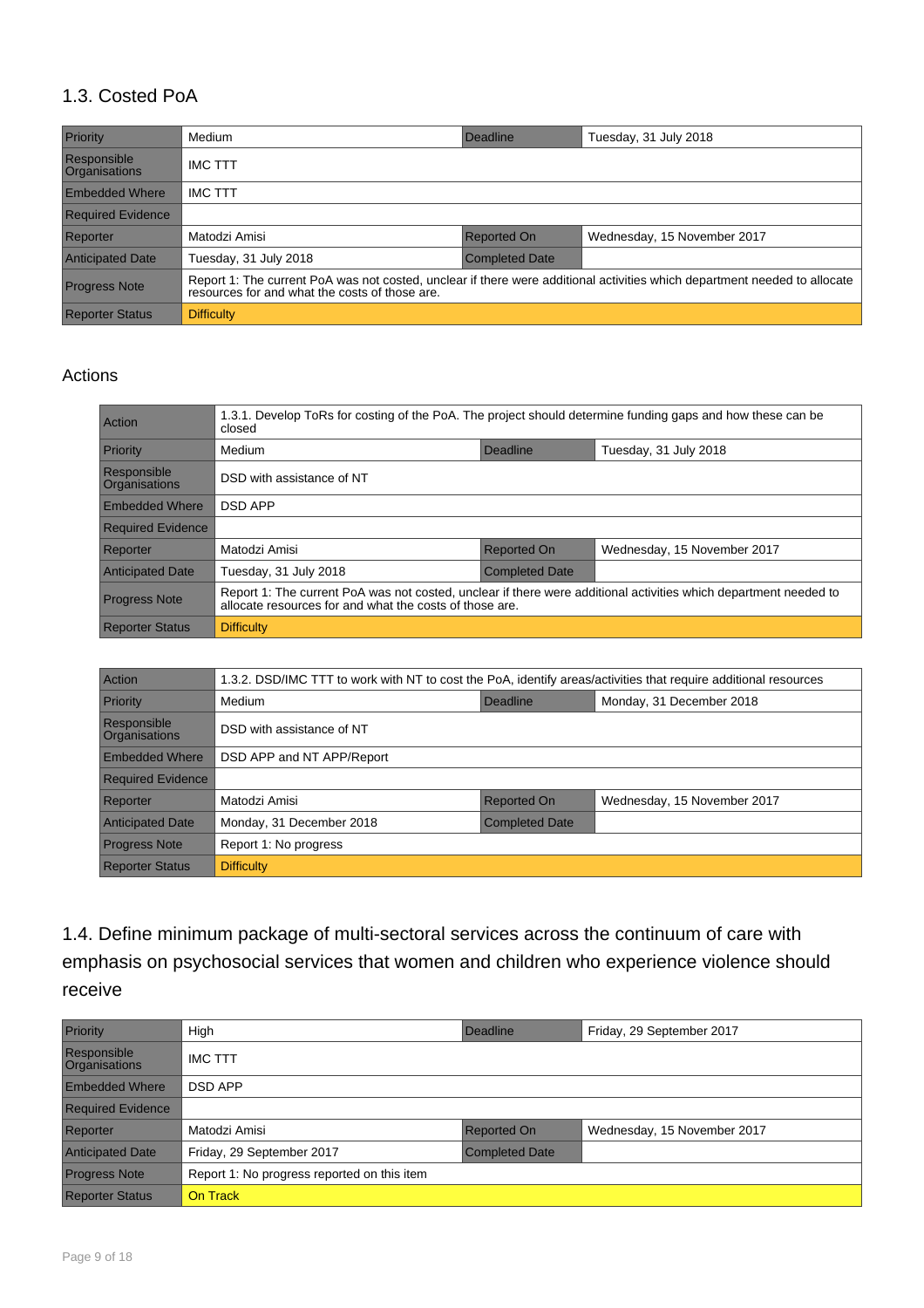#### 1.3. Costed PoA

| Priority                            | Medium                                         | Deadline              | Tuesday, 31 July 2018                                                                                                     |
|-------------------------------------|------------------------------------------------|-----------------------|---------------------------------------------------------------------------------------------------------------------------|
| Responsible<br><b>Organisations</b> | <b>IMC TTT</b>                                 |                       |                                                                                                                           |
| <b>Embedded Where</b>               | <b>IMC TTT</b>                                 |                       |                                                                                                                           |
| <b>Required Evidence</b>            |                                                |                       |                                                                                                                           |
| Reporter                            | Matodzi Amisi                                  | <b>Reported On</b>    | Wednesday, 15 November 2017                                                                                               |
| <b>Anticipated Date</b>             | Tuesday, 31 July 2018                          | <b>Completed Date</b> |                                                                                                                           |
| <b>Progress Note</b>                | resources for and what the costs of those are. |                       | Report 1: The current PoA was not costed, unclear if there were additional activities which department needed to allocate |
| <b>Reporter Status</b>              | <b>Difficulty</b>                              |                       |                                                                                                                           |

#### Actions

| Action                       | 1.3.1. Develop ToRs for costing of the PoA. The project should determine funding gaps and how these can be<br>closed                                                        |                       |                             |
|------------------------------|-----------------------------------------------------------------------------------------------------------------------------------------------------------------------------|-----------------------|-----------------------------|
| Priority                     | Medium                                                                                                                                                                      | Deadline              | Tuesday, 31 July 2018       |
| Responsible<br>Organisations | DSD with assistance of NT                                                                                                                                                   |                       |                             |
| <b>Embedded Where</b>        | <b>DSD APP</b>                                                                                                                                                              |                       |                             |
| <b>Required Evidence</b>     |                                                                                                                                                                             |                       |                             |
| Reporter                     | Matodzi Amisi                                                                                                                                                               | <b>Reported On</b>    | Wednesday, 15 November 2017 |
| <b>Anticipated Date</b>      | Tuesday, 31 July 2018                                                                                                                                                       | <b>Completed Date</b> |                             |
| <b>Progress Note</b>         | Report 1: The current PoA was not costed, unclear if there were additional activities which department needed to<br>allocate resources for and what the costs of those are. |                       |                             |
| <b>Reporter Status</b>       | <b>Difficulty</b>                                                                                                                                                           |                       |                             |

| Action                              | 1.3.2. DSD/IMC TTT to work with NT to cost the PoA, identify areas/activities that require additional resources |             |                             |  |
|-------------------------------------|-----------------------------------------------------------------------------------------------------------------|-------------|-----------------------------|--|
| Priority                            | Medium                                                                                                          | Deadline    | Monday, 31 December 2018    |  |
| Responsible<br><b>Organisations</b> | DSD with assistance of NT                                                                                       |             |                             |  |
| <b>Embedded Where</b>               | DSD APP and NT APP/Report                                                                                       |             |                             |  |
| <b>Required Evidence</b>            |                                                                                                                 |             |                             |  |
| Reporter                            | Matodzi Amisi                                                                                                   | Reported On | Wednesday, 15 November 2017 |  |
| <b>Anticipated Date</b>             | Monday, 31 December 2018<br><b>Completed Date</b>                                                               |             |                             |  |
| <b>Progress Note</b>                | Report 1: No progress                                                                                           |             |                             |  |
| <b>Reporter Status</b>              | <b>Difficulty</b>                                                                                               |             |                             |  |

1.4. Define minimum package of multi-sectoral services across the continuum of care with emphasis on psychosocial services that women and children who experience violence should receive

| Priority                     | High                                        | Deadline              | Friday, 29 September 2017   |  |
|------------------------------|---------------------------------------------|-----------------------|-----------------------------|--|
| Responsible<br>Organisations | <b>IMC TTT</b>                              |                       |                             |  |
| <b>Embedded Where</b>        | <b>DSD APP</b>                              |                       |                             |  |
| <b>Required Evidence</b>     |                                             |                       |                             |  |
| Reporter                     | Matodzi Amisi                               | <b>Reported On</b>    | Wednesday, 15 November 2017 |  |
| <b>Anticipated Date</b>      | Friday, 29 September 2017                   | <b>Completed Date</b> |                             |  |
| <b>Progress Note</b>         | Report 1: No progress reported on this item |                       |                             |  |
| <b>Reporter Status</b>       | On Track                                    |                       |                             |  |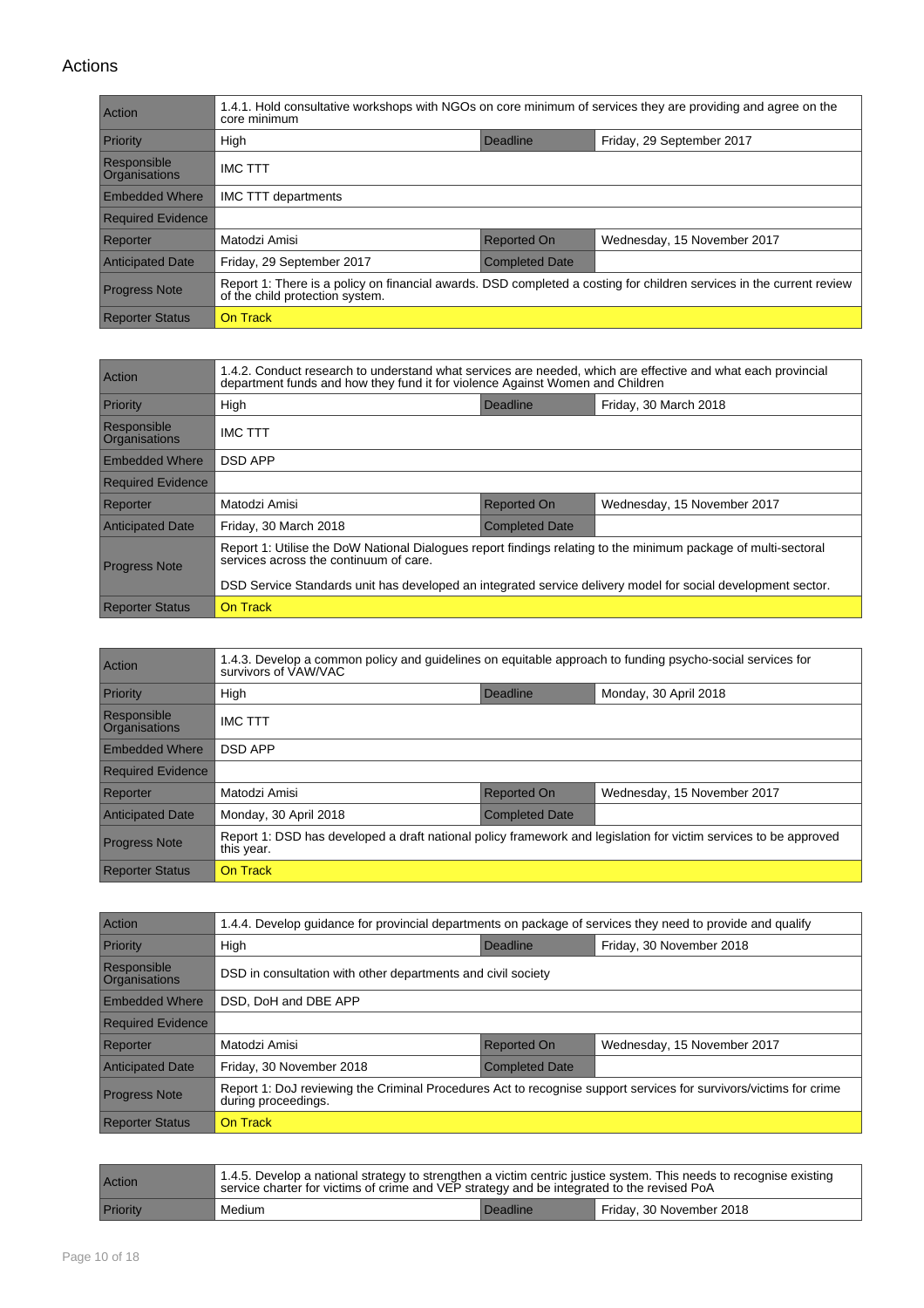| Action                              | 1.4.1. Hold consultative workshops with NGOs on core minimum of services they are providing and agree on the<br>core minimum                            |                       |                             |  |
|-------------------------------------|---------------------------------------------------------------------------------------------------------------------------------------------------------|-----------------------|-----------------------------|--|
| Priority                            | High                                                                                                                                                    | Deadline              | Friday, 29 September 2017   |  |
| Responsible<br><b>Organisations</b> | <b>IMC TTT</b>                                                                                                                                          |                       |                             |  |
| <b>Embedded Where</b>               | IMC TTT departments                                                                                                                                     |                       |                             |  |
| <b>Required Evidence</b>            |                                                                                                                                                         |                       |                             |  |
| Reporter                            | Matodzi Amisi                                                                                                                                           | <b>Reported On</b>    | Wednesday, 15 November 2017 |  |
| <b>Anticipated Date</b>             | Friday, 29 September 2017                                                                                                                               | <b>Completed Date</b> |                             |  |
| <b>Progress Note</b>                | Report 1: There is a policy on financial awards. DSD completed a costing for children services in the current review<br>of the child protection system. |                       |                             |  |
| <b>Reporter Status</b>              | On Track                                                                                                                                                |                       |                             |  |

| Action                              | 1.4.2. Conduct research to understand what services are needed, which are effective and what each provincial<br>department funds and how they fund it for violence Against Women and Children                                                                            |                       |                             |  |  |
|-------------------------------------|--------------------------------------------------------------------------------------------------------------------------------------------------------------------------------------------------------------------------------------------------------------------------|-----------------------|-----------------------------|--|--|
| Priority                            | High                                                                                                                                                                                                                                                                     | Deadline              | Friday, 30 March 2018       |  |  |
| Responsible<br><b>Organisations</b> | <b>IMC TTT</b>                                                                                                                                                                                                                                                           |                       |                             |  |  |
| <b>Embedded Where</b>               | <b>DSD APP</b>                                                                                                                                                                                                                                                           |                       |                             |  |  |
| <b>Required Evidence</b>            |                                                                                                                                                                                                                                                                          |                       |                             |  |  |
| Reporter                            | Matodzi Amisi                                                                                                                                                                                                                                                            | <b>Reported On</b>    | Wednesday, 15 November 2017 |  |  |
| <b>Anticipated Date</b>             | Friday, 30 March 2018                                                                                                                                                                                                                                                    | <b>Completed Date</b> |                             |  |  |
| <b>Progress Note</b>                | Report 1: Utilise the DoW National Dialogues report findings relating to the minimum package of multi-sectoral<br>services across the continuum of care.<br>DSD Service Standards unit has developed an integrated service delivery model for social development sector. |                       |                             |  |  |
| <b>Reporter Status</b>              | On Track                                                                                                                                                                                                                                                                 |                       |                             |  |  |

| Action                              | 1.4.3. Develop a common policy and guidelines on equitable approach to funding psycho-social services for<br>survivors of VAW/VAC |                       |                             |  |
|-------------------------------------|-----------------------------------------------------------------------------------------------------------------------------------|-----------------------|-----------------------------|--|
| Priority                            | High                                                                                                                              | Deadline              | Monday, 30 April 2018       |  |
| Responsible<br><b>Organisations</b> | <b>IMC TTT</b>                                                                                                                    |                       |                             |  |
| <b>Embedded Where</b>               | <b>DSD APP</b>                                                                                                                    |                       |                             |  |
| <b>Required Evidence</b>            |                                                                                                                                   |                       |                             |  |
| Reporter                            | Matodzi Amisi                                                                                                                     | <b>Reported On</b>    | Wednesday, 15 November 2017 |  |
| <b>Anticipated Date</b>             | Monday, 30 April 2018                                                                                                             | <b>Completed Date</b> |                             |  |
| <b>Progress Note</b>                | Report 1: DSD has developed a draft national policy framework and legislation for victim services to be approved<br>this year.    |                       |                             |  |
| <b>Reporter Status</b>              | On Track                                                                                                                          |                       |                             |  |

| Action                       | 1.4.4. Develop guidance for provincial departments on package of services they need to provide and qualify                               |                    |                             |  |  |
|------------------------------|------------------------------------------------------------------------------------------------------------------------------------------|--------------------|-----------------------------|--|--|
| Priority                     | High                                                                                                                                     | Deadline           | Friday, 30 November 2018    |  |  |
| Responsible<br>Organisations | DSD in consultation with other departments and civil society                                                                             |                    |                             |  |  |
| <b>Embedded Where</b>        | DSD, DoH and DBE APP                                                                                                                     |                    |                             |  |  |
| <b>Required Evidence</b>     |                                                                                                                                          |                    |                             |  |  |
| Reporter                     | Matodzi Amisi                                                                                                                            | <b>Reported On</b> | Wednesday, 15 November 2017 |  |  |
| <b>Anticipated Date</b>      | Friday, 30 November 2018<br><b>Completed Date</b>                                                                                        |                    |                             |  |  |
| <b>Progress Note</b>         | Report 1: DoJ reviewing the Criminal Procedures Act to recognise support services for survivors/victims for crime<br>during proceedings. |                    |                             |  |  |
| <b>Reporter Status</b>       | On Track                                                                                                                                 |                    |                             |  |  |

| Action   | 1.4.5. Develop a national strategy to strengthen a victim centric justice system. This needs to recognise existing<br>service charter for victims of crime and VEP strategy and be integrated to the revised PoA |                 |                          |
|----------|------------------------------------------------------------------------------------------------------------------------------------------------------------------------------------------------------------------|-----------------|--------------------------|
| Priority | Medium                                                                                                                                                                                                           | <b>Deadline</b> | Friday, 30 November 2018 |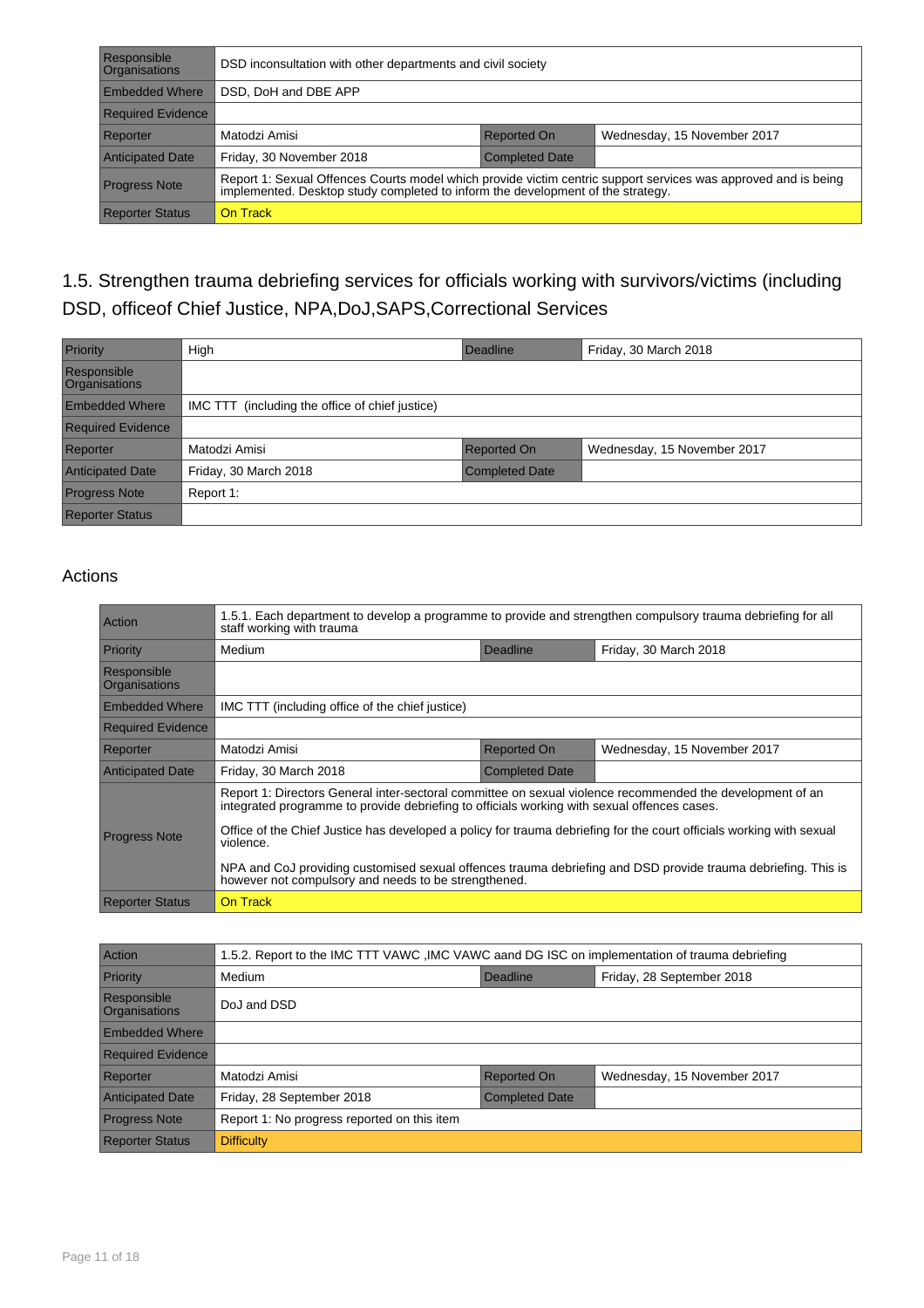| Responsible<br><b>Organisations</b> | DSD inconsultation with other departments and civil society                                                                                                                                       |                    |                             |  |
|-------------------------------------|---------------------------------------------------------------------------------------------------------------------------------------------------------------------------------------------------|--------------------|-----------------------------|--|
| <b>Embedded Where</b>               | DSD, DoH and DBE APP                                                                                                                                                                              |                    |                             |  |
| <b>Required Evidence</b>            |                                                                                                                                                                                                   |                    |                             |  |
| Reporter                            | Matodzi Amisi                                                                                                                                                                                     | <b>Reported On</b> | Wednesday, 15 November 2017 |  |
| <b>Anticipated Date</b>             | Friday, 30 November 2018<br>Completed Date                                                                                                                                                        |                    |                             |  |
| <b>Progress Note</b>                | Report 1: Sexual Offences Courts model which provide victim centric support services was approved and is being<br>implemented. Desktop study completed to inform the development of the strategy. |                    |                             |  |
| <b>Reporter Status</b>              | On Track                                                                                                                                                                                          |                    |                             |  |

### 1.5. Strengthen trauma debriefing services for officials working with survivors/victims (including DSD, officeof Chief Justice, NPA,DoJ,SAPS,Correctional Services

| Priority                            | High                                            | Deadline              | Friday, 30 March 2018       |
|-------------------------------------|-------------------------------------------------|-----------------------|-----------------------------|
| Responsible<br><b>Organisations</b> |                                                 |                       |                             |
| <b>Embedded Where</b>               | IMC TTT (including the office of chief justice) |                       |                             |
| <b>Required Evidence</b>            |                                                 |                       |                             |
| Reporter                            | Matodzi Amisi                                   | <b>Reported On</b>    | Wednesday, 15 November 2017 |
| <b>Anticipated Date</b>             | Friday, 30 March 2018                           | <b>Completed Date</b> |                             |
| <b>Progress Note</b>                | Report 1:                                       |                       |                             |
| <b>Reporter Status</b>              |                                                 |                       |                             |

| <b>Action</b>                | 1.5.1. Each department to develop a programme to provide and strengthen compulsory trauma debriefing for all<br>staff working with trauma                                                                                                                                                                                                                                                                                                                                                                              |                       |                             |  |
|------------------------------|------------------------------------------------------------------------------------------------------------------------------------------------------------------------------------------------------------------------------------------------------------------------------------------------------------------------------------------------------------------------------------------------------------------------------------------------------------------------------------------------------------------------|-----------------------|-----------------------------|--|
| Priority                     | Medium                                                                                                                                                                                                                                                                                                                                                                                                                                                                                                                 | Deadline              | Friday, 30 March 2018       |  |
| Responsible<br>Organisations |                                                                                                                                                                                                                                                                                                                                                                                                                                                                                                                        |                       |                             |  |
| <b>Embedded Where</b>        | IMC TTT (including office of the chief justice)                                                                                                                                                                                                                                                                                                                                                                                                                                                                        |                       |                             |  |
| <b>Required Evidence</b>     |                                                                                                                                                                                                                                                                                                                                                                                                                                                                                                                        |                       |                             |  |
| Reporter                     | Matodzi Amisi                                                                                                                                                                                                                                                                                                                                                                                                                                                                                                          | <b>Reported On</b>    | Wednesday, 15 November 2017 |  |
| <b>Anticipated Date</b>      | Friday, 30 March 2018                                                                                                                                                                                                                                                                                                                                                                                                                                                                                                  | <b>Completed Date</b> |                             |  |
| <b>Progress Note</b>         | Report 1: Directors General inter-sectoral committee on sexual violence recommended the development of an<br>integrated programme to provide debriefing to officials working with sexual offences cases.<br>Office of the Chief Justice has developed a policy for trauma debriefing for the court officials working with sexual<br>violence.<br>NPA and CoJ providing customised sexual offences trauma debriefing and DSD provide trauma debriefing. This is<br>however not compulsory and needs to be strengthened. |                       |                             |  |
| <b>Reporter Status</b>       | On Track                                                                                                                                                                                                                                                                                                                                                                                                                                                                                                               |                       |                             |  |

| <b>Action</b>                       | 1.5.2. Report to the IMC TTT VAWC, IMC VAWC aand DG ISC on implementation of trauma debriefing |                       |                             |  |
|-------------------------------------|------------------------------------------------------------------------------------------------|-----------------------|-----------------------------|--|
| <b>Priority</b>                     | Medium                                                                                         | Deadline              | Friday, 28 September 2018   |  |
| Responsible<br><b>Organisations</b> | DoJ and DSD                                                                                    |                       |                             |  |
| <b>Embedded Where</b>               |                                                                                                |                       |                             |  |
| <b>Required Evidence</b>            |                                                                                                |                       |                             |  |
| Reporter                            | Matodzi Amisi                                                                                  | <b>Reported On</b>    | Wednesday, 15 November 2017 |  |
| <b>Anticipated Date</b>             | Friday, 28 September 2018                                                                      | <b>Completed Date</b> |                             |  |
| <b>Progress Note</b>                | Report 1: No progress reported on this item                                                    |                       |                             |  |
| <b>Reporter Status</b>              | <b>Difficulty</b>                                                                              |                       |                             |  |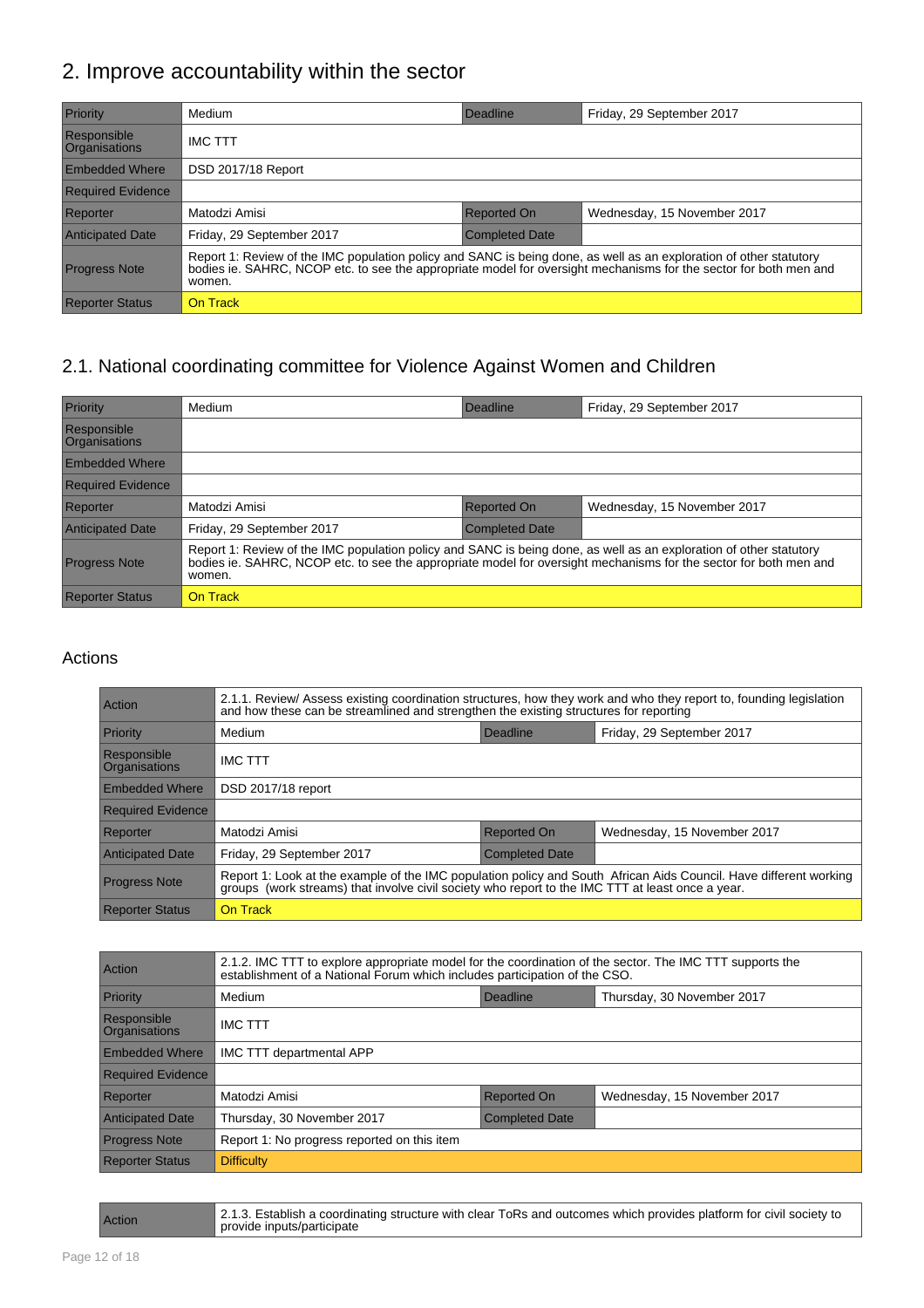## 2. Improve accountability within the sector

| Priority                            | Medium                                                                                                                                                                                                                                      | Deadline              | Friday, 29 September 2017   |  |
|-------------------------------------|---------------------------------------------------------------------------------------------------------------------------------------------------------------------------------------------------------------------------------------------|-----------------------|-----------------------------|--|
| Responsible<br><b>Organisations</b> | <b>IMC TTT</b>                                                                                                                                                                                                                              |                       |                             |  |
| <b>Embedded Where</b>               | DSD 2017/18 Report                                                                                                                                                                                                                          |                       |                             |  |
| <b>Required Evidence</b>            |                                                                                                                                                                                                                                             |                       |                             |  |
| Reporter                            | Matodzi Amisi                                                                                                                                                                                                                               | <b>Reported On</b>    | Wednesday, 15 November 2017 |  |
| <b>Anticipated Date</b>             | Friday, 29 September 2017                                                                                                                                                                                                                   | <b>Completed Date</b> |                             |  |
| <b>Progress Note</b>                | Report 1: Review of the IMC population policy and SANC is being done, as well as an exploration of other statutory<br>bodies ie. SAHRC, NCOP etc. to see the appropriate model for oversight mechanisms for the sector for both m<br>women. |                       |                             |  |
| <b>Reporter Status</b>              | On Track                                                                                                                                                                                                                                    |                       |                             |  |

#### 2.1. National coordinating committee for Violence Against Women and Children

| Priority                            | Medium                                                                                                                                                                                                                                            | Deadline              | Friday, 29 September 2017   |  |
|-------------------------------------|---------------------------------------------------------------------------------------------------------------------------------------------------------------------------------------------------------------------------------------------------|-----------------------|-----------------------------|--|
| Responsible<br><b>Organisations</b> |                                                                                                                                                                                                                                                   |                       |                             |  |
| <b>Embedded Where</b>               |                                                                                                                                                                                                                                                   |                       |                             |  |
| <b>Required Evidence</b>            |                                                                                                                                                                                                                                                   |                       |                             |  |
| Reporter                            | Matodzi Amisi                                                                                                                                                                                                                                     | <b>Reported On</b>    | Wednesday, 15 November 2017 |  |
| <b>Anticipated Date</b>             | Friday, 29 September 2017                                                                                                                                                                                                                         | <b>Completed Date</b> |                             |  |
| <b>Progress Note</b>                | Report 1: Review of the IMC population policy and SANC is being done, as well as an exploration of other statutory<br>bodies ie. SAHRC, NCOP etc. to see the appropriate model for oversight mechanisms for the sector for both men and<br>women. |                       |                             |  |
| <b>Reporter Status</b>              | On Track                                                                                                                                                                                                                                          |                       |                             |  |

| <b>Action</b>                | 2.1.1. Review/ Assess existing coordination structures, how they work and who they report to, founding legislation<br>and how these can be streamlined and strengthen the existing structures for reporting           |                       |                             |
|------------------------------|-----------------------------------------------------------------------------------------------------------------------------------------------------------------------------------------------------------------------|-----------------------|-----------------------------|
| Priority                     | Medium                                                                                                                                                                                                                | Deadline              | Friday, 29 September 2017   |
| Responsible<br>Organisations | <b>IMC TTT</b>                                                                                                                                                                                                        |                       |                             |
| <b>Embedded Where</b>        | DSD 2017/18 report                                                                                                                                                                                                    |                       |                             |
| <b>Required Evidence</b>     |                                                                                                                                                                                                                       |                       |                             |
| Reporter                     | Matodzi Amisi                                                                                                                                                                                                         | Reported On           | Wednesday, 15 November 2017 |
| <b>Anticipated Date</b>      | Friday, 29 September 2017                                                                                                                                                                                             | <b>Completed Date</b> |                             |
| <b>Progress Note</b>         | Report 1: Look at the example of the IMC population policy and South African Aids Council. Have different working<br>groups (work streams) that involve civil society who report to the IMC TTT at least once a year. |                       |                             |
| <b>Reporter Status</b>       | On Track                                                                                                                                                                                                              |                       |                             |

| Action                       | 2.1.2. IMC TTT to explore appropriate model for the coordination of the sector. The IMC TTT supports the<br>establishment of a National Forum which includes participation of the CSO. |                       |                             |  |
|------------------------------|----------------------------------------------------------------------------------------------------------------------------------------------------------------------------------------|-----------------------|-----------------------------|--|
| Priority                     | Medium<br>Deadline<br>Thursday, 30 November 2017                                                                                                                                       |                       |                             |  |
| Responsible<br>Organisations | <b>IMC TTT</b>                                                                                                                                                                         |                       |                             |  |
| <b>Embedded Where</b>        | IMC TTT departmental APP                                                                                                                                                               |                       |                             |  |
| <b>Required Evidence</b>     |                                                                                                                                                                                        |                       |                             |  |
| Reporter                     | Matodzi Amisi                                                                                                                                                                          | Reported On           | Wednesday, 15 November 2017 |  |
| <b>Anticipated Date</b>      | Thursday, 30 November 2017                                                                                                                                                             | <b>Completed Date</b> |                             |  |
| <b>Progress Note</b>         | Report 1: No progress reported on this item                                                                                                                                            |                       |                             |  |
| <b>Reporter Status</b>       | <b>Difficulty</b>                                                                                                                                                                      |                       |                             |  |

| Action | 2.1.3. Establish a coordinating structure with clear ToRs and outcomes which provides platform for civil society to<br>provide inputs/participate |
|--------|---------------------------------------------------------------------------------------------------------------------------------------------------|
|--------|---------------------------------------------------------------------------------------------------------------------------------------------------|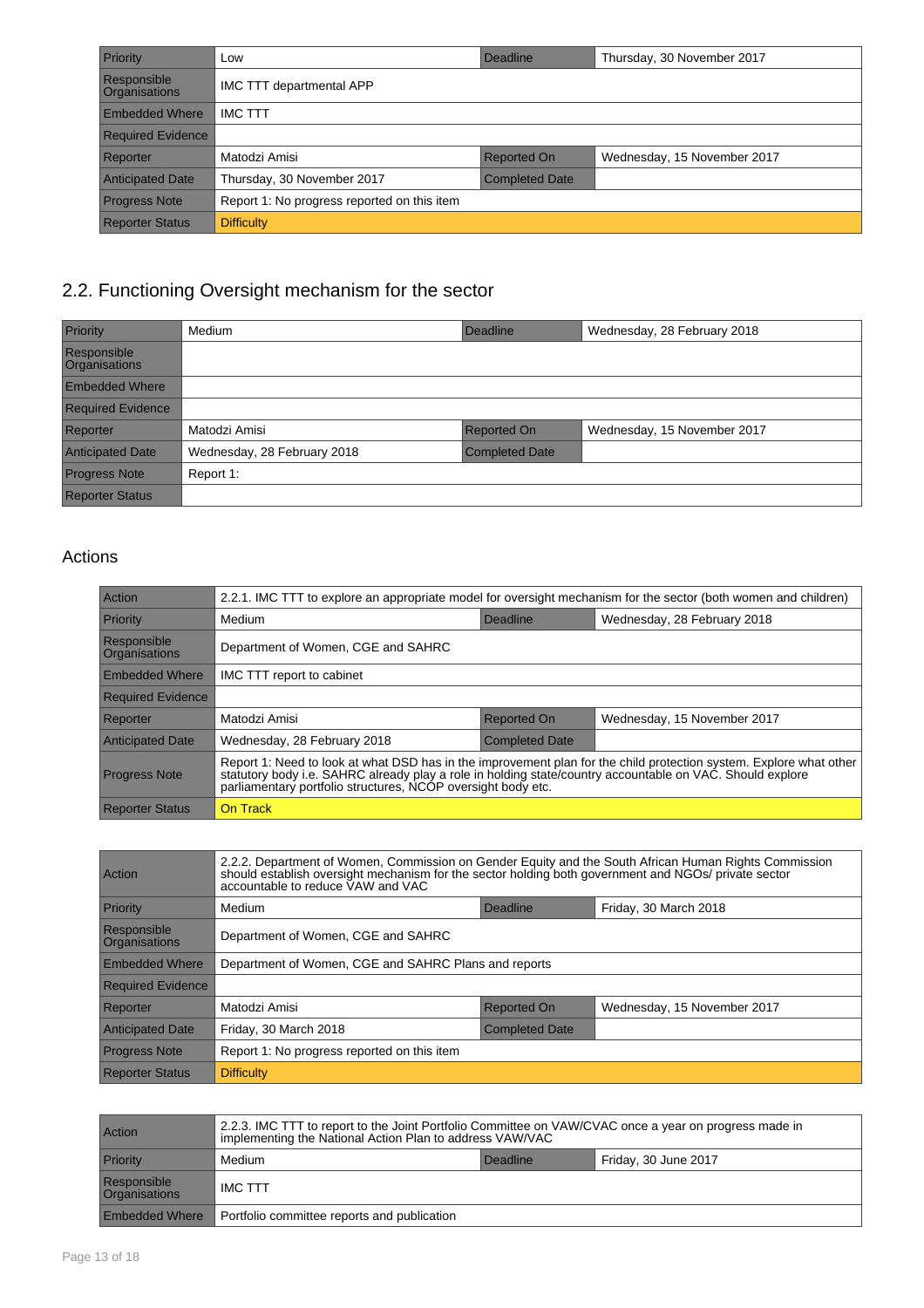| Priority                            | Low                                         | Deadline              | Thursday, 30 November 2017  |
|-------------------------------------|---------------------------------------------|-----------------------|-----------------------------|
| Responsible<br><b>Organisations</b> | IMC TTT departmental APP                    |                       |                             |
| <b>Embedded Where</b>               | <b>IMC TTT</b>                              |                       |                             |
| <b>Required Evidence</b>            |                                             |                       |                             |
| Reporter                            | Matodzi Amisi                               | Reported On           | Wednesday, 15 November 2017 |
| <b>Anticipated Date</b>             | Thursday, 30 November 2017                  | <b>Completed Date</b> |                             |
| <b>Progress Note</b>                | Report 1: No progress reported on this item |                       |                             |
| <b>Reporter Status</b>              | <b>Difficulty</b>                           |                       |                             |

## 2.2. Functioning Oversight mechanism for the sector

| Priority                                   | Medium                      | Deadline              | Wednesday, 28 February 2018 |
|--------------------------------------------|-----------------------------|-----------------------|-----------------------------|
| <b>Responsible</b><br><b>Organisations</b> |                             |                       |                             |
| <b>Embedded Where</b>                      |                             |                       |                             |
| <b>Required Evidence</b>                   |                             |                       |                             |
| Reporter                                   | Matodzi Amisi               | <b>Reported On</b>    | Wednesday, 15 November 2017 |
| <b>Anticipated Date</b>                    | Wednesday, 28 February 2018 | <b>Completed Date</b> |                             |
| <b>Progress Note</b>                       | Report 1:                   |                       |                             |
| <b>Reporter Status</b>                     |                             |                       |                             |

| Action                       | 2.2.1. IMC TTT to explore an appropriate model for oversight mechanism for the sector (both women and children)                                                                                                                                                                                 |                       |                             |  |
|------------------------------|-------------------------------------------------------------------------------------------------------------------------------------------------------------------------------------------------------------------------------------------------------------------------------------------------|-----------------------|-----------------------------|--|
| Priority                     | Medium                                                                                                                                                                                                                                                                                          | Deadline              | Wednesday, 28 February 2018 |  |
| Responsible<br>Organisations | Department of Women, CGE and SAHRC                                                                                                                                                                                                                                                              |                       |                             |  |
| <b>Embedded Where</b>        | IMC TTT report to cabinet                                                                                                                                                                                                                                                                       |                       |                             |  |
| <b>Required Evidence</b>     |                                                                                                                                                                                                                                                                                                 |                       |                             |  |
| Reporter                     | Matodzi Amisi                                                                                                                                                                                                                                                                                   | Reported On           | Wednesday, 15 November 2017 |  |
| <b>Anticipated Date</b>      | Wednesday, 28 February 2018                                                                                                                                                                                                                                                                     | <b>Completed Date</b> |                             |  |
| <b>Progress Note</b>         | Report 1: Need to look at what DSD has in the improvement plan for the child protection system. Explore what other<br>statutory body i.e. SAHRC already play a role in holding state/country accountable on VAC. Should explore<br>parliamentary portfolio structures, NCOP oversight body etc. |                       |                             |  |
| <b>Reporter Status</b>       | On Track                                                                                                                                                                                                                                                                                        |                       |                             |  |

| Action                       | 2.2.2. Department of Women, Commission on Gender Equity and the South African Human Rights Commission<br>should establish oversight mechanism for the sector holding both government and NGOs/ private sector<br>accountable to reduce VAW and VAC |  |  |  |
|------------------------------|----------------------------------------------------------------------------------------------------------------------------------------------------------------------------------------------------------------------------------------------------|--|--|--|
| Priority                     | Friday, 30 March 2018<br>Medium<br>Deadline                                                                                                                                                                                                        |  |  |  |
| Responsible<br>Organisations | Department of Women, CGE and SAHRC                                                                                                                                                                                                                 |  |  |  |
| <b>Embedded Where</b>        | Department of Women, CGE and SAHRC Plans and reports                                                                                                                                                                                               |  |  |  |
| <b>Required Evidence</b>     |                                                                                                                                                                                                                                                    |  |  |  |
| Reporter                     | Matodzi Amisi<br><b>Reported On</b><br>Wednesday, 15 November 2017                                                                                                                                                                                 |  |  |  |
| <b>Anticipated Date</b>      | Friday, 30 March 2018<br><b>Completed Date</b>                                                                                                                                                                                                     |  |  |  |
| <b>Progress Note</b>         | Report 1: No progress reported on this item                                                                                                                                                                                                        |  |  |  |
| <b>Reporter Status</b>       | <b>Difficulty</b>                                                                                                                                                                                                                                  |  |  |  |

| Action                       | 2.2.3. IMC TTT to report to the Joint Portfolio Committee on VAW/CVAC once a year on progress made in<br>implementing the National Action Plan to address VAW/VAC |  |  |  |
|------------------------------|-------------------------------------------------------------------------------------------------------------------------------------------------------------------|--|--|--|
| Priority                     | Friday, 30 June 2017<br>Medium<br>Deadline                                                                                                                        |  |  |  |
| Responsible<br>Organisations | <b>IMC TTT</b>                                                                                                                                                    |  |  |  |
| <b>Embedded Where</b>        | Portfolio committee reports and publication                                                                                                                       |  |  |  |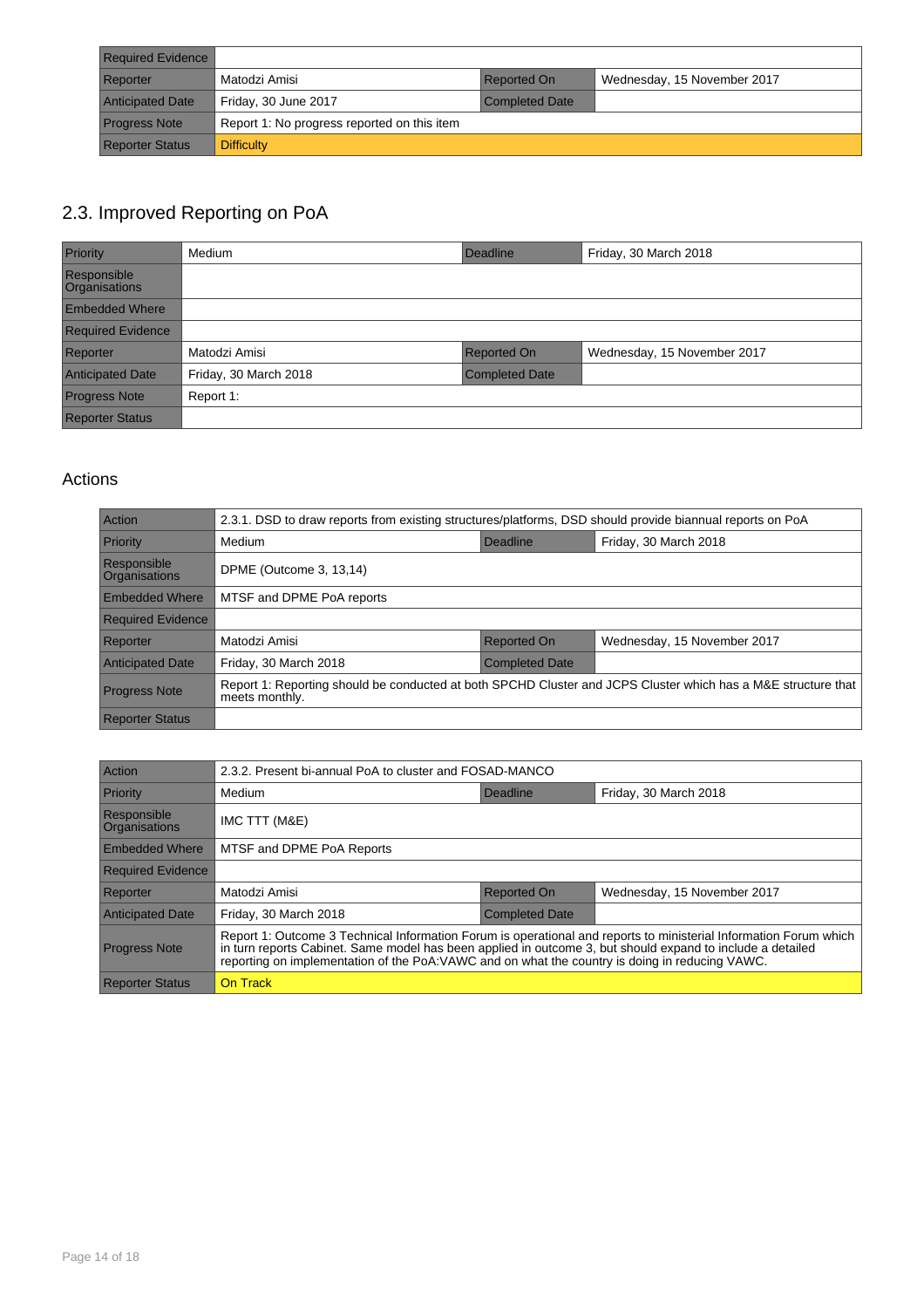| <b>Required Evidence</b> |                                             |                       |                             |
|--------------------------|---------------------------------------------|-----------------------|-----------------------------|
| Reporter                 | Matodzi Amisi                               | <b>Reported On</b>    | Wednesday, 15 November 2017 |
| <b>Anticipated Date</b>  | Friday, 30 June 2017                        | <b>Completed Date</b> |                             |
| <b>Progress Note</b>     | Report 1: No progress reported on this item |                       |                             |
| <b>Reporter Status</b>   | <b>Difficulty</b>                           |                       |                             |

#### 2.3. Improved Reporting on PoA

| Priority                     | Medium                | Deadline              | Friday, 30 March 2018       |
|------------------------------|-----------------------|-----------------------|-----------------------------|
| Responsible<br>Organisations |                       |                       |                             |
| <b>Embedded Where</b>        |                       |                       |                             |
| <b>Required Evidence</b>     |                       |                       |                             |
| Reporter                     | Matodzi Amisi         | <b>Reported On</b>    | Wednesday, 15 November 2017 |
| <b>Anticipated Date</b>      | Friday, 30 March 2018 | <b>Completed Date</b> |                             |
| <b>Progress Note</b>         | Report 1:             |                       |                             |
| <b>Reporter Status</b>       |                       |                       |                             |

| Action                       | 2.3.1. DSD to draw reports from existing structures/platforms, DSD should provide biannual reports on PoA                       |                       |                             |
|------------------------------|---------------------------------------------------------------------------------------------------------------------------------|-----------------------|-----------------------------|
| Priority                     | Medium                                                                                                                          | Deadline              | Friday, 30 March 2018       |
| Responsible<br>Organisations | DPME (Outcome 3, 13,14)                                                                                                         |                       |                             |
| <b>Embedded Where</b>        | MTSF and DPME PoA reports                                                                                                       |                       |                             |
| <b>Required Evidence</b>     |                                                                                                                                 |                       |                             |
| Reporter                     | Matodzi Amisi                                                                                                                   | <b>Reported On</b>    | Wednesday, 15 November 2017 |
| <b>Anticipated Date</b>      | Friday, 30 March 2018                                                                                                           | <b>Completed Date</b> |                             |
| <b>Progress Note</b>         | Report 1: Reporting should be conducted at both SPCHD Cluster and JCPS Cluster which has a M&E structure that<br>meets monthly. |                       |                             |
| <b>Reporter Status</b>       |                                                                                                                                 |                       |                             |

| Action                              | 2.3.2. Present bi-annual PoA to cluster and FOSAD-MANCO                                                                                                                                                                                                                                                                           |                       |                             |
|-------------------------------------|-----------------------------------------------------------------------------------------------------------------------------------------------------------------------------------------------------------------------------------------------------------------------------------------------------------------------------------|-----------------------|-----------------------------|
| Priority                            | Medium                                                                                                                                                                                                                                                                                                                            | Deadline              | Friday, 30 March 2018       |
| Responsible<br><b>Organisations</b> | IMC TTT (M&E)                                                                                                                                                                                                                                                                                                                     |                       |                             |
| <b>Embedded Where</b>               | MTSF and DPME PoA Reports                                                                                                                                                                                                                                                                                                         |                       |                             |
| <b>Required Evidence</b>            |                                                                                                                                                                                                                                                                                                                                   |                       |                             |
| Reporter                            | Matodzi Amisi                                                                                                                                                                                                                                                                                                                     | <b>Reported On</b>    | Wednesday, 15 November 2017 |
| <b>Anticipated Date</b>             | Friday, 30 March 2018                                                                                                                                                                                                                                                                                                             | <b>Completed Date</b> |                             |
| <b>Progress Note</b>                | Report 1: Outcome 3 Technical Information Forum is operational and reports to ministerial Information Forum which<br>in turn reports Cabinet. Same model has been applied in outcome 3, but should expand to include a detailed<br>reporting on implementation of the PoA:VAWC and on what the country is doing in reducing VAWC. |                       |                             |
| <b>Reporter Status</b>              | On Track                                                                                                                                                                                                                                                                                                                          |                       |                             |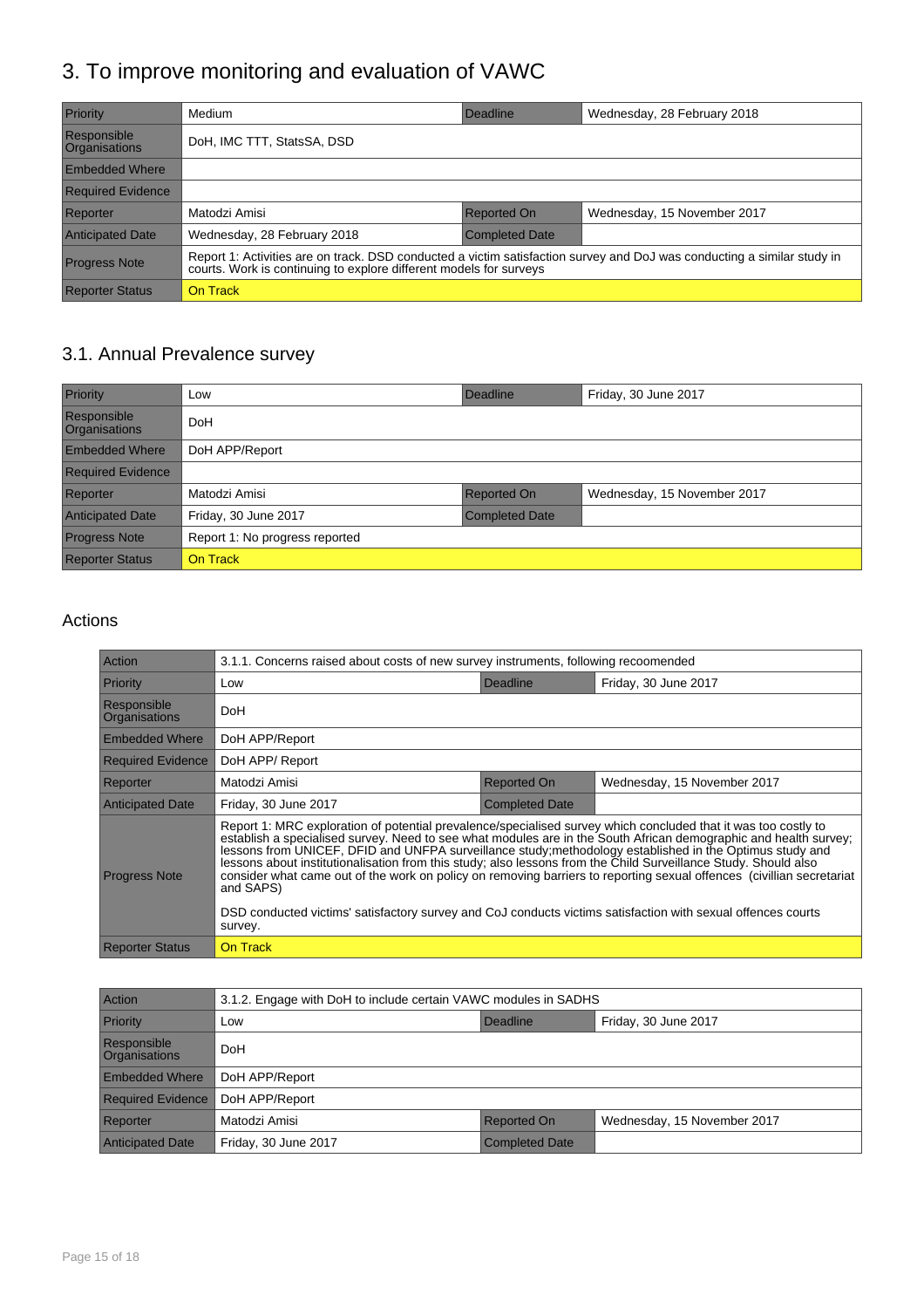## 3. To improve monitoring and evaluation of VAWC

| Priority                            | Medium                                                                                                                                                                                        | Deadline              | Wednesday, 28 February 2018 |
|-------------------------------------|-----------------------------------------------------------------------------------------------------------------------------------------------------------------------------------------------|-----------------------|-----------------------------|
| Responsible<br><b>Organisations</b> | DoH, IMC TTT, StatsSA, DSD                                                                                                                                                                    |                       |                             |
| <b>Embedded Where</b>               |                                                                                                                                                                                               |                       |                             |
| <b>Required Evidence</b>            |                                                                                                                                                                                               |                       |                             |
| Reporter                            | Matodzi Amisi                                                                                                                                                                                 | <b>Reported On</b>    | Wednesday, 15 November 2017 |
| <b>Anticipated Date</b>             | Wednesday, 28 February 2018                                                                                                                                                                   | <b>Completed Date</b> |                             |
| <b>Progress Note</b>                | Report 1: Activities are on track. DSD conducted a victim satisfaction survey and DoJ was conducting a similar study in<br>courts. Work is continuing to explore different models for surveys |                       |                             |
| <b>Reporter Status</b>              | On Track                                                                                                                                                                                      |                       |                             |

## 3.1. Annual Prevalence survey

| Priority                            | Low                            | Deadline              | Friday, 30 June 2017        |
|-------------------------------------|--------------------------------|-----------------------|-----------------------------|
| Responsible<br><b>Organisations</b> | DoH                            |                       |                             |
| <b>Embedded Where</b>               | DoH APP/Report                 |                       |                             |
| <b>Required Evidence</b>            |                                |                       |                             |
| Reporter                            | Matodzi Amisi                  | <b>Reported On</b>    | Wednesday, 15 November 2017 |
| <b>Anticipated Date</b>             | Friday, 30 June 2017           | <b>Completed Date</b> |                             |
| <b>Progress Note</b>                | Report 1: No progress reported |                       |                             |
| <b>Reporter Status</b>              | <b>On Track</b>                |                       |                             |

| Action                       | 3.1.1. Concerns raised about costs of new survey instruments, following recoomended                                                                                                                                                                                                                                                                                                                                                                                                                                                                                                                                                                                                                                                |                       |                             |
|------------------------------|------------------------------------------------------------------------------------------------------------------------------------------------------------------------------------------------------------------------------------------------------------------------------------------------------------------------------------------------------------------------------------------------------------------------------------------------------------------------------------------------------------------------------------------------------------------------------------------------------------------------------------------------------------------------------------------------------------------------------------|-----------------------|-----------------------------|
| Priority                     | Low                                                                                                                                                                                                                                                                                                                                                                                                                                                                                                                                                                                                                                                                                                                                | Deadline              | Friday, 30 June 2017        |
| Responsible<br>Organisations | DoH                                                                                                                                                                                                                                                                                                                                                                                                                                                                                                                                                                                                                                                                                                                                |                       |                             |
| <b>Embedded Where</b>        | DoH APP/Report                                                                                                                                                                                                                                                                                                                                                                                                                                                                                                                                                                                                                                                                                                                     |                       |                             |
| <b>Required Evidence</b>     | DoH APP/Report                                                                                                                                                                                                                                                                                                                                                                                                                                                                                                                                                                                                                                                                                                                     |                       |                             |
| Reporter                     | Matodzi Amisi                                                                                                                                                                                                                                                                                                                                                                                                                                                                                                                                                                                                                                                                                                                      | <b>Reported On</b>    | Wednesday, 15 November 2017 |
| <b>Anticipated Date</b>      | Friday, 30 June 2017                                                                                                                                                                                                                                                                                                                                                                                                                                                                                                                                                                                                                                                                                                               | <b>Completed Date</b> |                             |
| <b>Progress Note</b>         | Report 1: MRC exploration of potential prevalence/specialised survey which concluded that it was too costly to<br>establish a specialised survey. Need to see what modules are in the South African demographic and health survey:<br>lessons from UNICEF, DFID and UNFPA surveillance study; methodology established in the Optimus study and<br>lessons about institutionalisation from this study; also lessons from the Child Surveillance Study. Should also<br>consider what came out of the work on policy on removing barriers to reporting sexual offences (civillian secretariat<br>and SAPS)<br>DSD conducted victims' satisfactory survey and CoJ conducts victims satisfaction with sexual offences courts<br>survey. |                       |                             |
| Reporter Status              | On Track                                                                                                                                                                                                                                                                                                                                                                                                                                                                                                                                                                                                                                                                                                                           |                       |                             |

| <b>Action</b>                              | 3.1.2. Engage with DoH to include certain VAWC modules in SADHS |                       |                             |
|--------------------------------------------|-----------------------------------------------------------------|-----------------------|-----------------------------|
| Priority                                   | Low                                                             | Deadline              | Friday, 30 June 2017        |
| <b>Responsible</b><br><b>Organisations</b> | <b>DoH</b>                                                      |                       |                             |
| <b>Embedded Where</b>                      | DoH APP/Report                                                  |                       |                             |
| <b>Required Evidence</b>                   | DoH APP/Report                                                  |                       |                             |
| Reporter                                   | Matodzi Amisi                                                   | <b>Reported On</b>    | Wednesday, 15 November 2017 |
| <b>Anticipated Date</b>                    | Friday, 30 June 2017                                            | <b>Completed Date</b> |                             |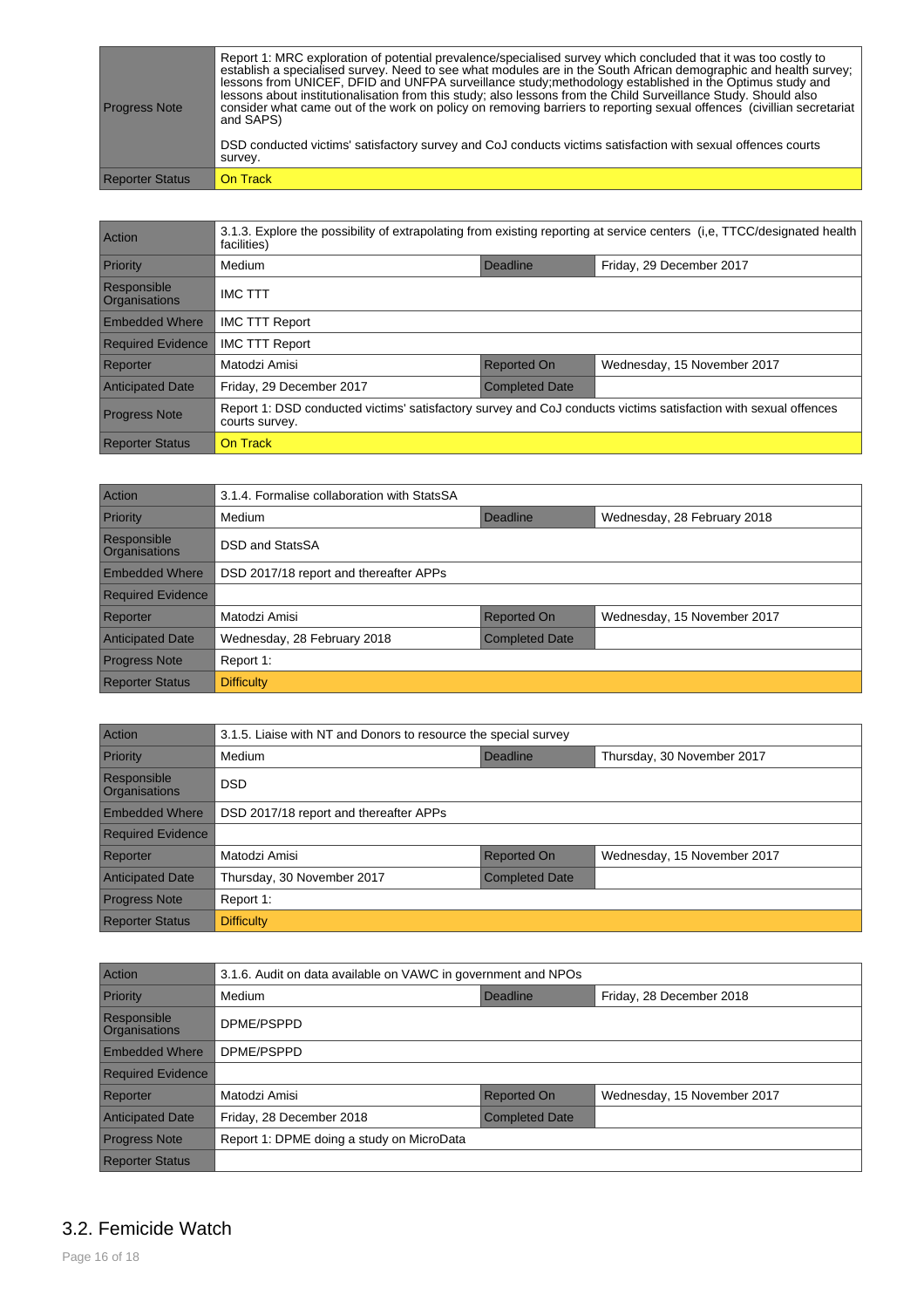| <b>Progress Note</b>   | Report 1: MRC exploration of potential prevalence/specialised survey which concluded that it was too costly to<br>establish a specialised survey. Need to see what modules are in the South African demographic and health survey;<br>lessons from UNICEF, DFID and UNFPA surveillance study; methodology established in the Optimus study and<br>lessons about institutionalisation from this study; also lessons from the Child Surveillance Study. Should also<br>consider what came out of the work on policy on removing barriers to reporting sexual offences (civillian secretariat<br>and SAPS) |
|------------------------|---------------------------------------------------------------------------------------------------------------------------------------------------------------------------------------------------------------------------------------------------------------------------------------------------------------------------------------------------------------------------------------------------------------------------------------------------------------------------------------------------------------------------------------------------------------------------------------------------------|
|                        | DSD conducted victims' satisfactory survey and CoJ conducts victims satisfaction with sexual offences courts<br>survey.                                                                                                                                                                                                                                                                                                                                                                                                                                                                                 |
| <b>Reporter Status</b> | l On Track                                                                                                                                                                                                                                                                                                                                                                                                                                                                                                                                                                                              |

| Action                              | 3.1.3. Explore the possibility of extrapolating from existing reporting at service centers (i,e, TTCC/designated health<br>facilities) |                       |                             |  |
|-------------------------------------|----------------------------------------------------------------------------------------------------------------------------------------|-----------------------|-----------------------------|--|
| Priority                            | Friday, 29 December 2017<br>Medium<br>Deadline                                                                                         |                       |                             |  |
| Responsible<br><b>Organisations</b> | <b>IMC TTT</b>                                                                                                                         |                       |                             |  |
| <b>Embedded Where</b>               | <b>IMC TTT Report</b>                                                                                                                  |                       |                             |  |
| <b>Required Evidence</b>            | <b>IMC TTT Report</b>                                                                                                                  |                       |                             |  |
| Reporter                            | Matodzi Amisi                                                                                                                          | <b>Reported On</b>    | Wednesday, 15 November 2017 |  |
| <b>Anticipated Date</b>             | Friday, 29 December 2017                                                                                                               | <b>Completed Date</b> |                             |  |
| <b>Progress Note</b>                | Report 1: DSD conducted victims' satisfactory survey and CoJ conducts victims satisfaction with sexual offences<br>courts survey.      |                       |                             |  |
| <b>Reporter Status</b>              | On Track                                                                                                                               |                       |                             |  |

| Action                       | 3.1.4. Formalise collaboration with StatsSA |                       |                             |
|------------------------------|---------------------------------------------|-----------------------|-----------------------------|
| Priority                     | Medium                                      | Deadline              | Wednesday, 28 February 2018 |
| Responsible<br>Organisations | DSD and StatsSA                             |                       |                             |
| <b>Embedded Where</b>        | DSD 2017/18 report and thereafter APPs      |                       |                             |
| <b>Required Evidence</b>     |                                             |                       |                             |
| Reporter                     | Matodzi Amisi                               | Reported On           | Wednesday, 15 November 2017 |
| <b>Anticipated Date</b>      | Wednesday, 28 February 2018                 | <b>Completed Date</b> |                             |
| <b>Progress Note</b>         | Report 1:                                   |                       |                             |
| <b>Reporter Status</b>       | <b>Difficulty</b>                           |                       |                             |

| Action                              | 3.1.5. Liaise with NT and Donors to resource the special survey |             |                             |
|-------------------------------------|-----------------------------------------------------------------|-------------|-----------------------------|
| Priority                            | Medium                                                          | Deadline    | Thursday, 30 November 2017  |
| Responsible<br><b>Organisations</b> | <b>DSD</b>                                                      |             |                             |
| <b>Embedded Where</b>               | DSD 2017/18 report and thereafter APPs                          |             |                             |
| <b>Required Evidence</b>            |                                                                 |             |                             |
| Reporter                            | Matodzi Amisi                                                   | Reported On | Wednesday, 15 November 2017 |
| <b>Anticipated Date</b>             | Thursday, 30 November 2017<br><b>Completed Date</b>             |             |                             |
| <b>Progress Note</b>                | Report 1:                                                       |             |                             |
| <b>Reporter Status</b>              | <b>Difficulty</b>                                               |             |                             |

| Action                              | 3.1.6. Audit on data available on VAWC in government and NPOs |                       |                             |
|-------------------------------------|---------------------------------------------------------------|-----------------------|-----------------------------|
| Priority                            | Medium                                                        | Deadline              | Friday, 28 December 2018    |
| Responsible<br><b>Organisations</b> | DPME/PSPPD                                                    |                       |                             |
| <b>Embedded Where</b>               | DPME/PSPPD                                                    |                       |                             |
| <b>Required Evidence</b>            |                                                               |                       |                             |
| Reporter                            | Matodzi Amisi                                                 | <b>Reported On</b>    | Wednesday, 15 November 2017 |
| <b>Anticipated Date</b>             | Friday, 28 December 2018                                      | <b>Completed Date</b> |                             |
| <b>Progress Note</b>                | Report 1: DPME doing a study on MicroData                     |                       |                             |
| <b>Reporter Status</b>              |                                                               |                       |                             |

#### 3.2. Femicide Watch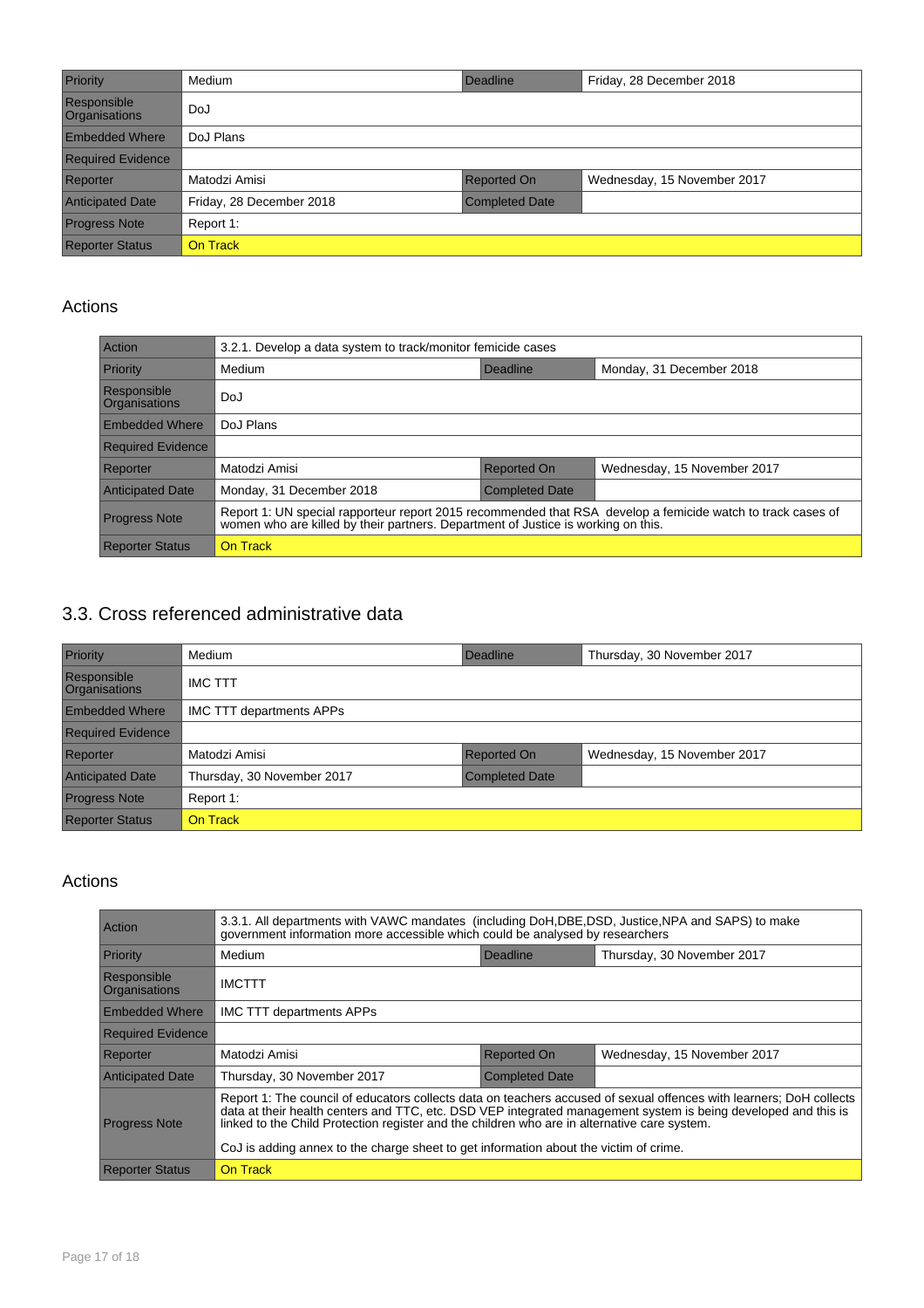| Priority                            | Medium                   | Deadline              | Friday, 28 December 2018    |
|-------------------------------------|--------------------------|-----------------------|-----------------------------|
| Responsible<br><b>Organisations</b> | DoJ                      |                       |                             |
| <b>Embedded Where</b>               | DoJ Plans                |                       |                             |
| <b>Required Evidence</b>            |                          |                       |                             |
| Reporter                            | Matodzi Amisi            | <b>Reported On</b>    | Wednesday, 15 November 2017 |
| <b>Anticipated Date</b>             | Friday, 28 December 2018 | <b>Completed Date</b> |                             |
| <b>Progress Note</b>                | Report 1:                |                       |                             |
| <b>Reporter Status</b>              | <b>On Track</b>          |                       |                             |

#### Actions

| Action                       | 3.2.1. Develop a data system to track/monitor femicide cases                                                                                                                                  |                       |                             |
|------------------------------|-----------------------------------------------------------------------------------------------------------------------------------------------------------------------------------------------|-----------------------|-----------------------------|
| Priority                     | Medium                                                                                                                                                                                        | Deadline              | Monday, 31 December 2018    |
| Responsible<br>Organisations | DoJ                                                                                                                                                                                           |                       |                             |
| <b>Embedded Where</b>        | DoJ Plans                                                                                                                                                                                     |                       |                             |
| <b>Required Evidence</b>     |                                                                                                                                                                                               |                       |                             |
| Reporter                     | Matodzi Amisi                                                                                                                                                                                 | <b>Reported On</b>    | Wednesday, 15 November 2017 |
| <b>Anticipated Date</b>      | Monday, 31 December 2018                                                                                                                                                                      | <b>Completed Date</b> |                             |
| <b>Progress Note</b>         | Report 1: UN special rapporteur report 2015 recommended that RSA develop a femicide watch to track cases of women who are killed by their partners. Department of Justice is working on this. |                       |                             |
| <b>Reporter Status</b>       | On Track                                                                                                                                                                                      |                       |                             |

#### 3.3. Cross referenced administrative data

| Priority                            | Medium                          | Deadline              | Thursday, 30 November 2017  |
|-------------------------------------|---------------------------------|-----------------------|-----------------------------|
| Responsible<br><b>Organisations</b> | <b>IMC TTT</b>                  |                       |                             |
| <b>Embedded Where</b>               | <b>IMC TTT departments APPs</b> |                       |                             |
| <b>Required Evidence</b>            |                                 |                       |                             |
| Reporter                            | Matodzi Amisi                   | <b>Reported On</b>    | Wednesday, 15 November 2017 |
| <b>Anticipated Date</b>             | Thursday, 30 November 2017      | <b>Completed Date</b> |                             |
| <b>Progress Note</b>                | Report 1:                       |                       |                             |
| <b>Reporter Status</b>              | On Track                        |                       |                             |

| Action                       | 3.3.1. All departments with VAWC mandates (including DoH, DBE, DSD, Justice, NPA and SAPS) to make<br>government information more accessible which could be analysed by researchers                                                                                                                                                                                                                                            |                       |                             |
|------------------------------|--------------------------------------------------------------------------------------------------------------------------------------------------------------------------------------------------------------------------------------------------------------------------------------------------------------------------------------------------------------------------------------------------------------------------------|-----------------------|-----------------------------|
| Priority                     | Medium                                                                                                                                                                                                                                                                                                                                                                                                                         | Deadline              | Thursday, 30 November 2017  |
| Responsible<br>Organisations | <b>IMCTTT</b>                                                                                                                                                                                                                                                                                                                                                                                                                  |                       |                             |
| <b>Embedded Where</b>        | <b>IMC TTT departments APPs</b>                                                                                                                                                                                                                                                                                                                                                                                                |                       |                             |
| <b>Required Evidence</b>     |                                                                                                                                                                                                                                                                                                                                                                                                                                |                       |                             |
| Reporter                     | Matodzi Amisi                                                                                                                                                                                                                                                                                                                                                                                                                  | <b>Reported On</b>    | Wednesday, 15 November 2017 |
| <b>Anticipated Date</b>      | Thursday, 30 November 2017                                                                                                                                                                                                                                                                                                                                                                                                     | <b>Completed Date</b> |                             |
| <b>Progress Note</b>         | Report 1: The council of educators collects data on teachers accused of sexual offences with learners; DoH collects<br>data at their health centers and TTC, etc. DSD VEP integrated management system is being developed and this is<br>linked to the Child Protection register and the children who are in alternative care system.<br>CoJ is adding annex to the charge sheet to get information about the victim of crime. |                       |                             |
| <b>Reporter Status</b>       | On Track                                                                                                                                                                                                                                                                                                                                                                                                                       |                       |                             |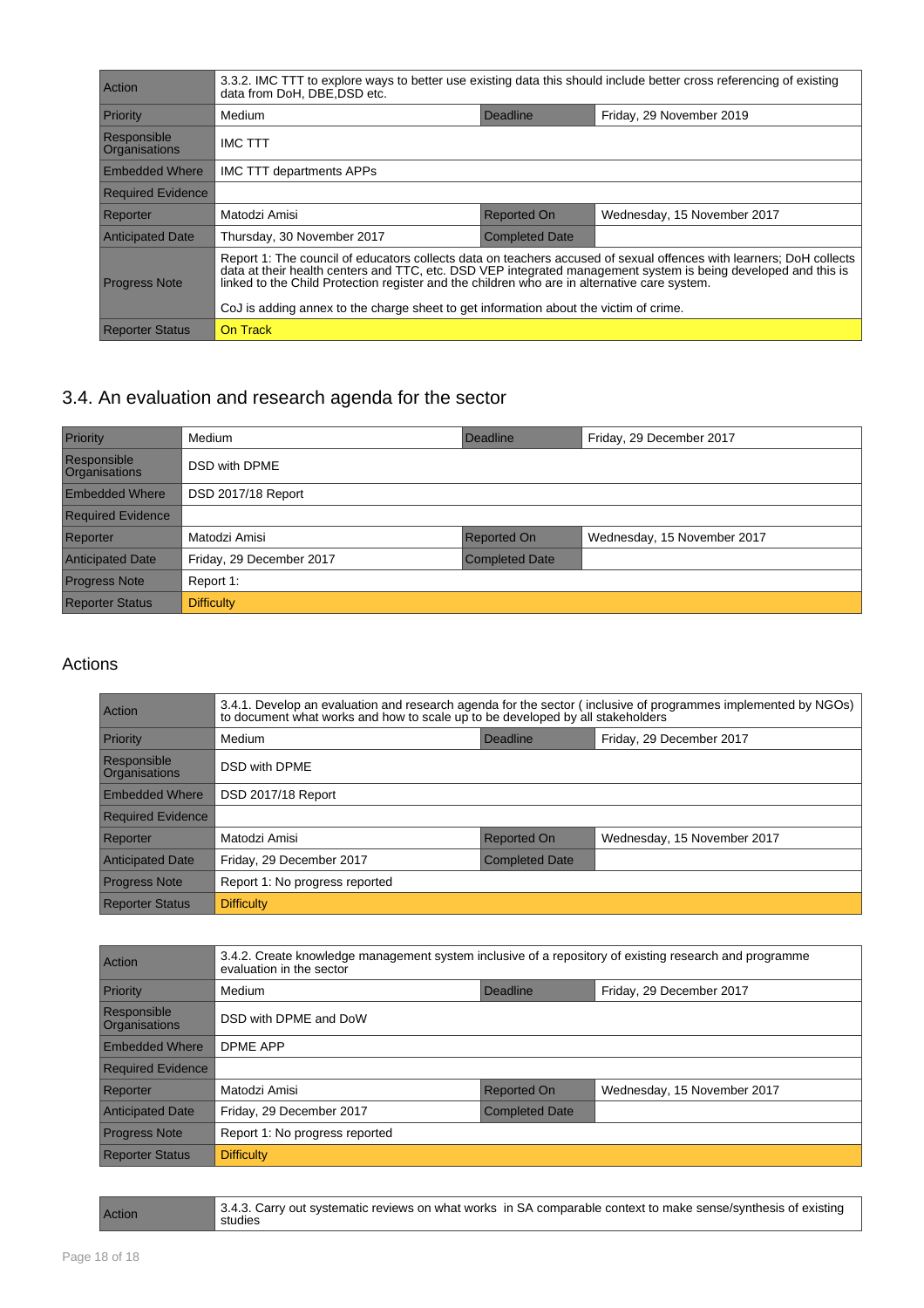| <b>Action</b>                       | 3.3.2. IMC TTT to explore ways to better use existing data this should include better cross referencing of existing<br>data from DoH, DBE, DSD etc.                                                                                                                                                                                                                                                                            |                       |                             |
|-------------------------------------|--------------------------------------------------------------------------------------------------------------------------------------------------------------------------------------------------------------------------------------------------------------------------------------------------------------------------------------------------------------------------------------------------------------------------------|-----------------------|-----------------------------|
| Priority                            | Medium                                                                                                                                                                                                                                                                                                                                                                                                                         | Deadline              | Friday, 29 November 2019    |
| Responsible<br><b>Organisations</b> | <b>IMC TTT</b>                                                                                                                                                                                                                                                                                                                                                                                                                 |                       |                             |
| <b>Embedded Where</b>               | <b>IMC TTT departments APPs</b>                                                                                                                                                                                                                                                                                                                                                                                                |                       |                             |
| <b>Required Evidence</b>            |                                                                                                                                                                                                                                                                                                                                                                                                                                |                       |                             |
| Reporter                            | Matodzi Amisi                                                                                                                                                                                                                                                                                                                                                                                                                  | Reported On           | Wednesday, 15 November 2017 |
| <b>Anticipated Date</b>             | Thursday, 30 November 2017                                                                                                                                                                                                                                                                                                                                                                                                     | <b>Completed Date</b> |                             |
| <b>Progress Note</b>                | Report 1: The council of educators collects data on teachers accused of sexual offences with learners; DoH collects<br>data at their health centers and TTC, etc. DSD VEP integrated management system is being developed and this is<br>linked to the Child Protection register and the children who are in alternative care system.<br>CoJ is adding annex to the charge sheet to get information about the victim of crime. |                       |                             |
| <b>Reporter Status</b>              | On Track                                                                                                                                                                                                                                                                                                                                                                                                                       |                       |                             |

## 3.4. An evaluation and research agenda for the sector

| Priority                            | Medium                   | Deadline              | Friday, 29 December 2017    |
|-------------------------------------|--------------------------|-----------------------|-----------------------------|
| Responsible<br><b>Organisations</b> | DSD with DPME            |                       |                             |
| <b>Embedded Where</b>               | DSD 2017/18 Report       |                       |                             |
| <b>Required Evidence</b>            |                          |                       |                             |
| Reporter                            | Matodzi Amisi            | <b>Reported On</b>    | Wednesday, 15 November 2017 |
| <b>Anticipated Date</b>             | Friday, 29 December 2017 | <b>Completed Date</b> |                             |
| <b>Progress Note</b>                | Report 1:                |                       |                             |
| <b>Reporter Status</b>              | <b>Difficulty</b>        |                       |                             |

| Action                       | 3.4.1. Develop an evaluation and research agenda for the sector (inclusive of programmes implemented by NGOs)<br>to document what works and how to scale up to be developed by all stakeholders |                       |                             |
|------------------------------|-------------------------------------------------------------------------------------------------------------------------------------------------------------------------------------------------|-----------------------|-----------------------------|
| Priority                     | Medium                                                                                                                                                                                          | Deadline              | Friday, 29 December 2017    |
| Responsible<br>Organisations | <b>DSD with DPME</b>                                                                                                                                                                            |                       |                             |
| <b>Embedded Where</b>        | DSD 2017/18 Report                                                                                                                                                                              |                       |                             |
| <b>Required Evidence</b>     |                                                                                                                                                                                                 |                       |                             |
| Reporter                     | Matodzi Amisi                                                                                                                                                                                   | Reported On           | Wednesday, 15 November 2017 |
| <b>Anticipated Date</b>      | Friday, 29 December 2017                                                                                                                                                                        | <b>Completed Date</b> |                             |
| <b>Progress Note</b>         | Report 1: No progress reported                                                                                                                                                                  |                       |                             |
| <b>Reporter Status</b>       | <b>Difficulty</b>                                                                                                                                                                               |                       |                             |

| Action                              | 3.4.2. Create knowledge management system inclusive of a repository of existing research and programme<br>evaluation in the sector |                    |                             |
|-------------------------------------|------------------------------------------------------------------------------------------------------------------------------------|--------------------|-----------------------------|
| Priority                            | Medium                                                                                                                             | Deadline           | Friday, 29 December 2017    |
| Responsible<br><b>Organisations</b> | DSD with DPME and DoW                                                                                                              |                    |                             |
| <b>Embedded Where</b>               | <b>DPME APP</b>                                                                                                                    |                    |                             |
| <b>Required Evidence</b>            |                                                                                                                                    |                    |                             |
| Reporter                            | Matodzi Amisi                                                                                                                      | <b>Reported On</b> | Wednesday, 15 November 2017 |
| <b>Anticipated Date</b>             | Friday, 29 December 2017<br><b>Completed Date</b>                                                                                  |                    |                             |
| <b>Progress Note</b>                | Report 1: No progress reported                                                                                                     |                    |                             |
| <b>Reporter Status</b>              | <b>Difficulty</b>                                                                                                                  |                    |                             |

| Action | 3.4.3. Carry out systematic reviews on what works in SA comparable context to make sense/synthesis of existing<br>studies |
|--------|---------------------------------------------------------------------------------------------------------------------------|
|        |                                                                                                                           |